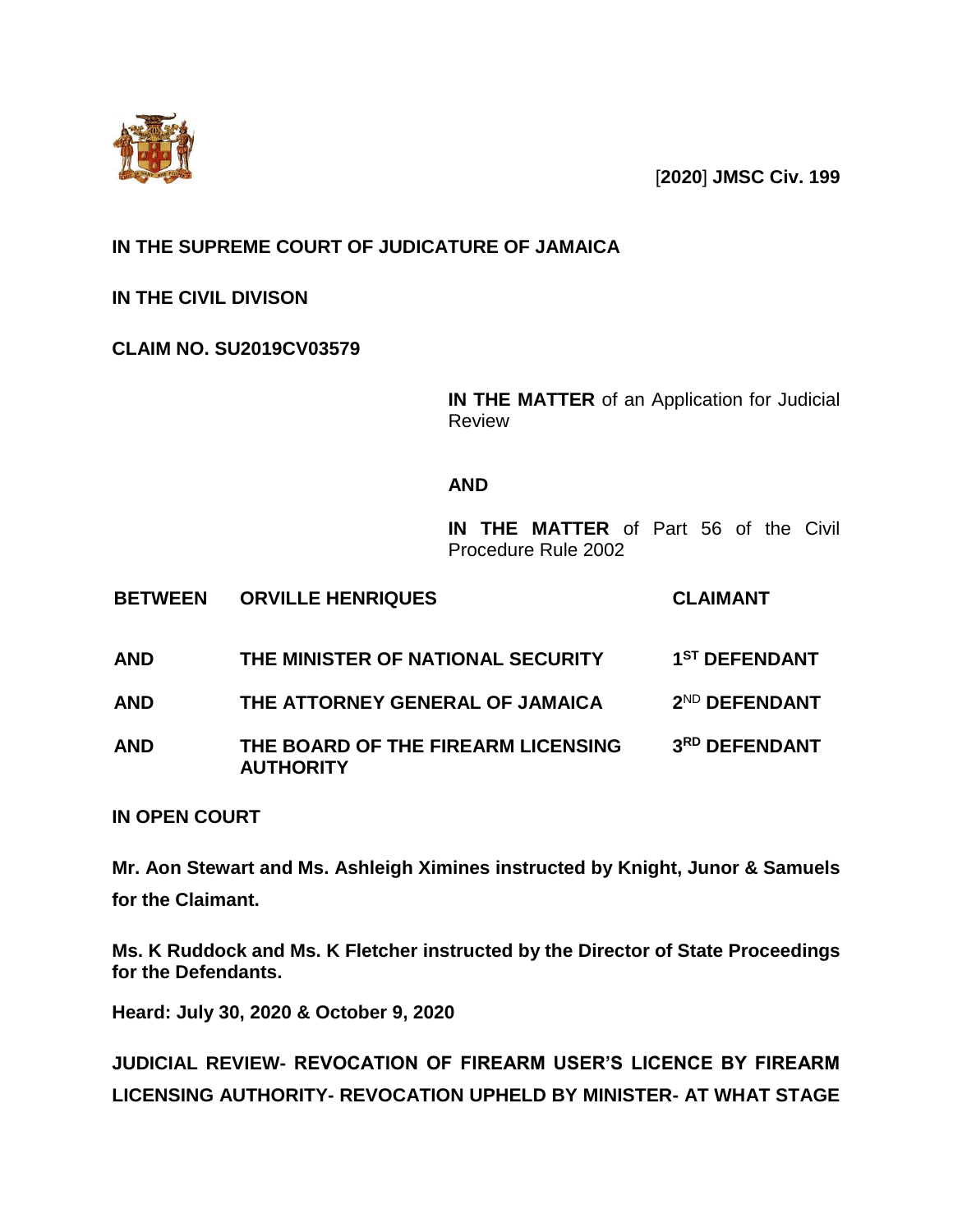

[**2020**] **JMSC Civ. 199**

## **IN THE SUPREME COURT OF JUDICATURE OF JAMAICA**

**IN THE CIVIL DIVISON**

**CLAIM NO. SU2019CV03579**

**IN THE MATTER** of an Application for Judicial Review

## **AND**

**IN THE MATTER** of Part 56 of the Civil Procedure Rule 2002

| <b>BETWEEN</b> | <b>ORVILLE HENRIQUES</b> | <b>CLAIMANT</b> |
|----------------|--------------------------|-----------------|
|                |                          |                 |

- **AND THE MINISTER OF NATIONAL SECURITY ST DEFENDANT AND THE ATTORNEY GENERAL OF JAMAICA 2** 2<sup>ND</sup> DEFENDANT
- **AND THE BOARD OF THE FIREARM LICENSING AUTHORITY 3 RD DEFENDANT**

**IN OPEN COURT**

**Mr. Aon Stewart and Ms. Ashleigh Ximines instructed by Knight, Junor & Samuels for the Claimant.**

**Ms. K Ruddock and Ms. K Fletcher instructed by the Director of State Proceedings for the Defendants.**

**Heard: July 30, 2020 & October 9, 2020**

**JUDICIAL REVIEW- REVOCATION OF FIREARM USER'S LICENCE BY FIREARM LICENSING AUTHORITY- REVOCATION UPHELD BY MINISTER- AT WHAT STAGE**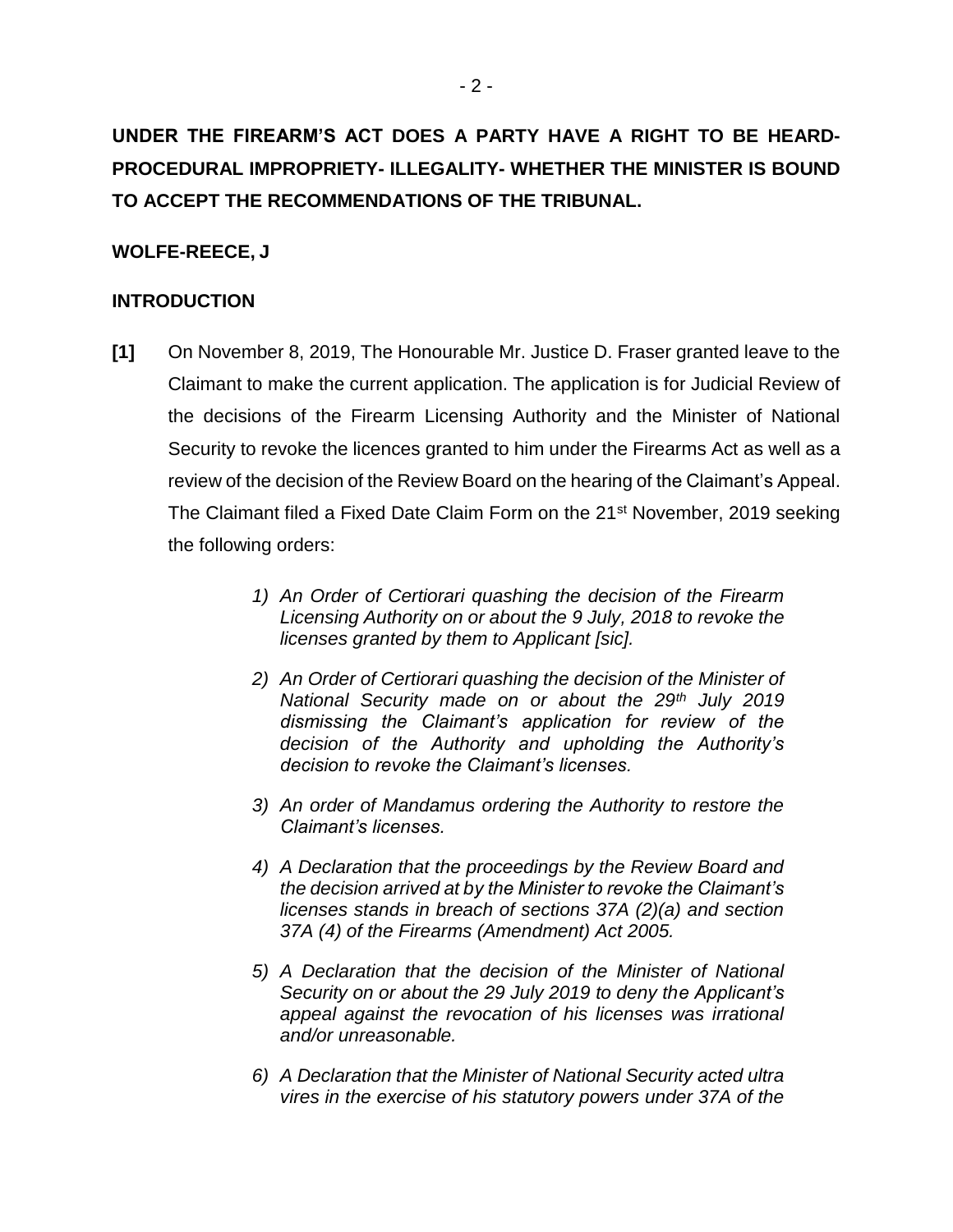# **UNDER THE FIREARM'S ACT DOES A PARTY HAVE A RIGHT TO BE HEARD-PROCEDURAL IMPROPRIETY- ILLEGALITY- WHETHER THE MINISTER IS BOUND TO ACCEPT THE RECOMMENDATIONS OF THE TRIBUNAL.**

## **WOLFE-REECE, J**

## **INTRODUCTION**

- **[1]** On November 8, 2019, The Honourable Mr. Justice D. Fraser granted leave to the Claimant to make the current application. The application is for Judicial Review of the decisions of the Firearm Licensing Authority and the Minister of National Security to revoke the licences granted to him under the Firearms Act as well as a review of the decision of the Review Board on the hearing of the Claimant's Appeal. The Claimant filed a Fixed Date Claim Form on the 21<sup>st</sup> November, 2019 seeking the following orders:
	- *1) An Order of Certiorari quashing the decision of the Firearm Licensing Authority on or about the 9 July, 2018 to revoke the licenses granted by them to Applicant [sic].*
	- *2) An Order of Certiorari quashing the decision of the Minister of National Security made on or about the 29th July 2019 dismissing the Claimant's application for review of the decision of the Authority and upholding the Authority's decision to revoke the Claimant's licenses.*
	- *3) An order of Mandamus ordering the Authority to restore the Claimant's licenses.*
	- *4) A Declaration that the proceedings by the Review Board and the decision arrived at by the Minister to revoke the Claimant's licenses stands in breach of sections 37A (2)(a) and section 37A (4) of the Firearms (Amendment) Act 2005.*
	- *5) A Declaration that the decision of the Minister of National Security on or about the 29 July 2019 to deny the Applicant's appeal against the revocation of his licenses was irrational and/or unreasonable.*
	- *6) A Declaration that the Minister of National Security acted ultra vires in the exercise of his statutory powers under 37A of the*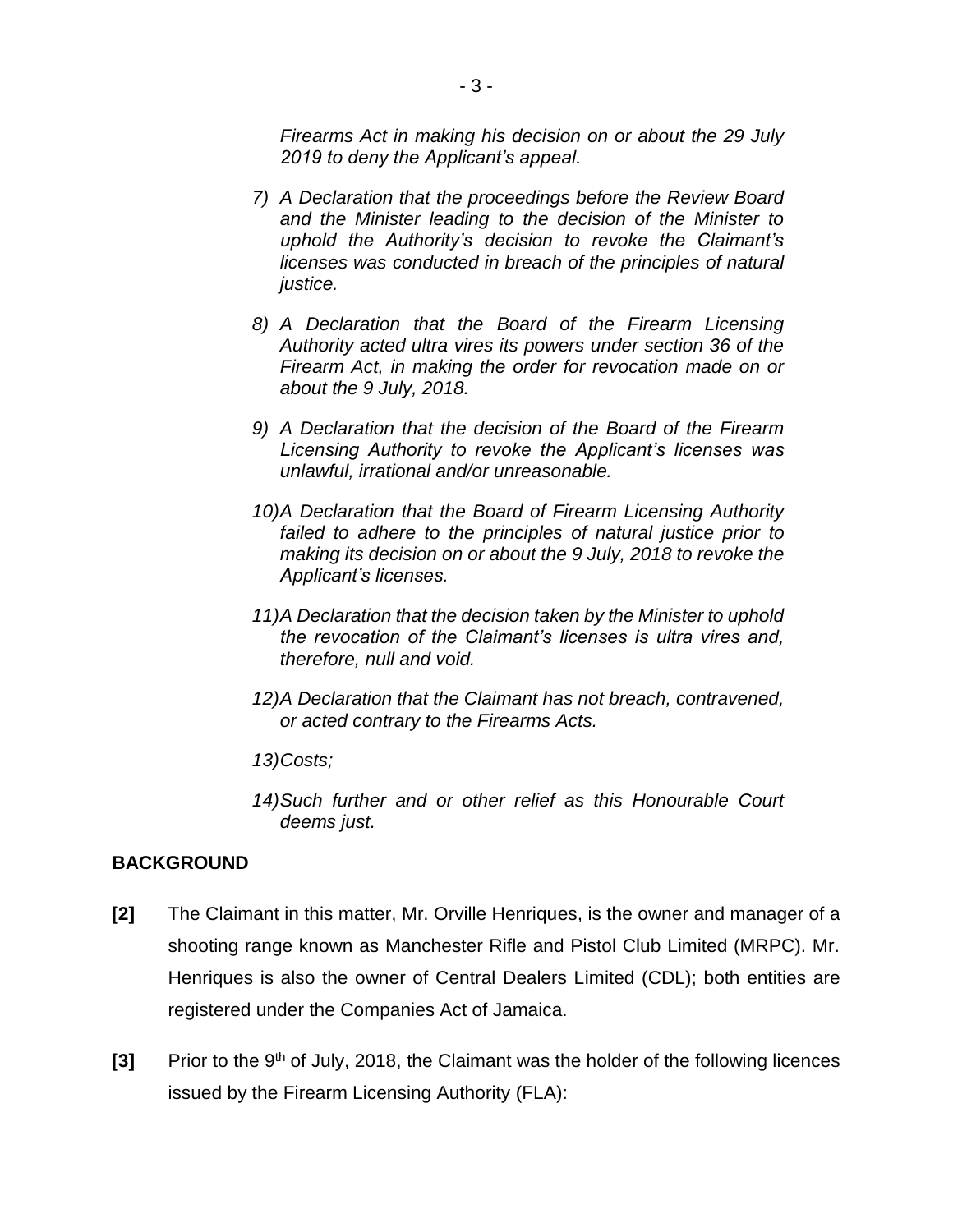*Firearms Act in making his decision on or about the 29 July 2019 to deny the Applicant's appeal.* 

- *7) A Declaration that the proceedings before the Review Board and the Minister leading to the decision of the Minister to uphold the Authority's decision to revoke the Claimant's licenses was conducted in breach of the principles of natural justice.*
- *8) A Declaration that the Board of the Firearm Licensing Authority acted ultra vires its powers under section 36 of the Firearm Act, in making the order for revocation made on or about the 9 July, 2018.*
- *9) A Declaration that the decision of the Board of the Firearm Licensing Authority to revoke the Applicant's licenses was unlawful, irrational and/or unreasonable.*
- *10)A Declaration that the Board of Firearm Licensing Authority failed to adhere to the principles of natural justice prior to making its decision on or about the 9 July, 2018 to revoke the Applicant's licenses.*
- *11)A Declaration that the decision taken by the Minister to uphold the revocation of the Claimant's licenses is ultra vires and, therefore, null and void.*
- *12)A Declaration that the Claimant has not breach, contravened, or acted contrary to the Firearms Acts.*
- *13)Costs;*
- *14)Such further and or other relief as this Honourable Court deems just.*

## **BACKGROUND**

- **[2]** The Claimant in this matter, Mr. Orville Henriques, is the owner and manager of a shooting range known as Manchester Rifle and Pistol Club Limited (MRPC). Mr. Henriques is also the owner of Central Dealers Limited (CDL); both entities are registered under the Companies Act of Jamaica.
- [3] Prior to the 9<sup>th</sup> of July, 2018, the Claimant was the holder of the following licences issued by the Firearm Licensing Authority (FLA):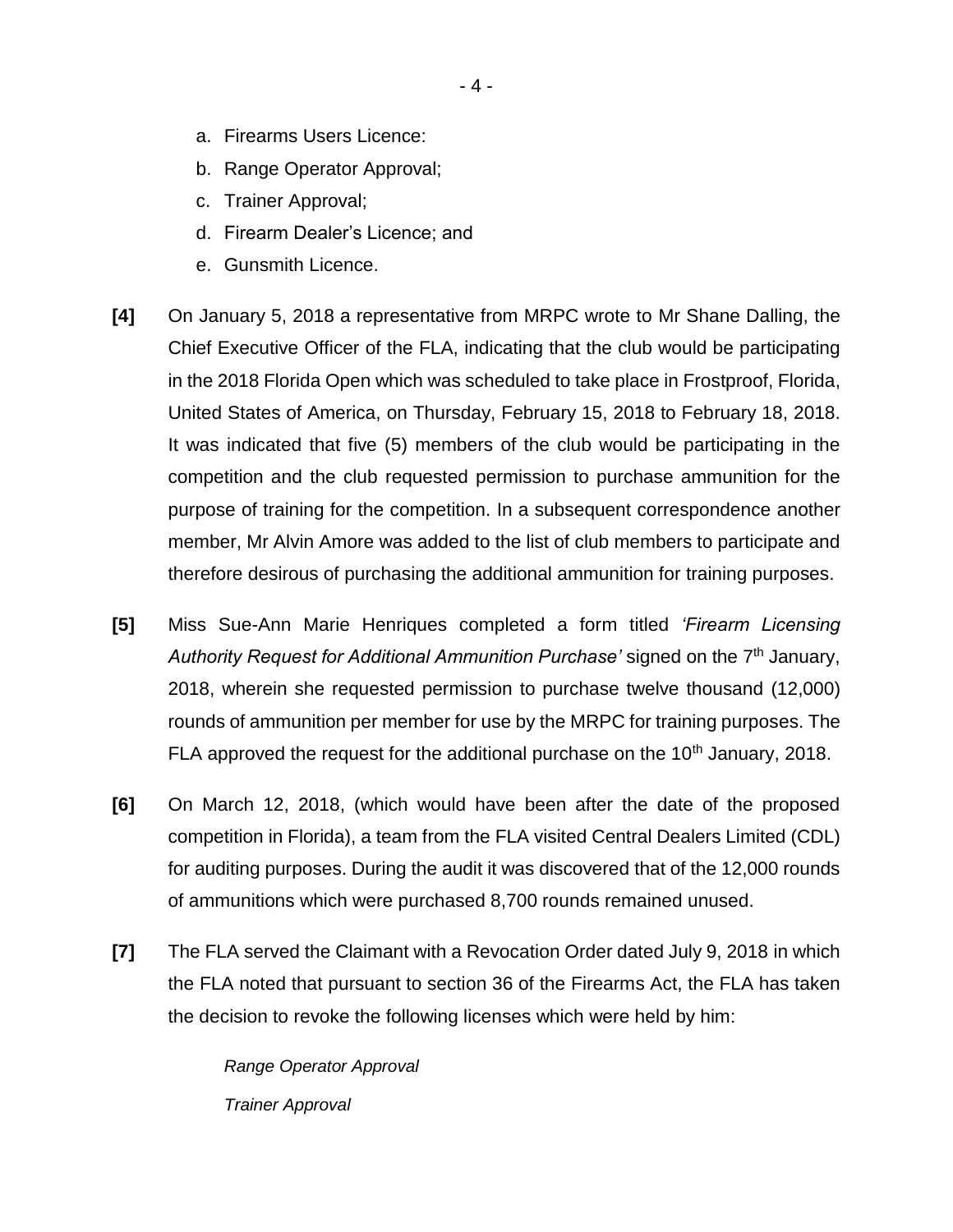- a. Firearms Users Licence:
- b. Range Operator Approval;
- c. Trainer Approval;
- d. Firearm Dealer's Licence; and
- e. Gunsmith Licence.
- **[4]** On January 5, 2018 a representative from MRPC wrote to Mr Shane Dalling, the Chief Executive Officer of the FLA, indicating that the club would be participating in the 2018 Florida Open which was scheduled to take place in Frostproof, Florida, United States of America, on Thursday, February 15, 2018 to February 18, 2018. It was indicated that five (5) members of the club would be participating in the competition and the club requested permission to purchase ammunition for the purpose of training for the competition. In a subsequent correspondence another member, Mr Alvin Amore was added to the list of club members to participate and therefore desirous of purchasing the additional ammunition for training purposes.
- **[5]** Miss Sue-Ann Marie Henriques completed a form titled *'Firearm Licensing*  Authority Request for Additional Ammunition Purchase' signed on the 7<sup>th</sup> January, 2018, wherein she requested permission to purchase twelve thousand (12,000) rounds of ammunition per member for use by the MRPC for training purposes. The FLA approved the request for the additional purchase on the  $10<sup>th</sup>$  January, 2018.
- **[6]** On March 12, 2018, (which would have been after the date of the proposed competition in Florida), a team from the FLA visited Central Dealers Limited (CDL) for auditing purposes. During the audit it was discovered that of the 12,000 rounds of ammunitions which were purchased 8,700 rounds remained unused.
- **[7]** The FLA served the Claimant with a Revocation Order dated July 9, 2018 in which the FLA noted that pursuant to section 36 of the Firearms Act, the FLA has taken the decision to revoke the following licenses which were held by him:

*Range Operator Approval Trainer Approval*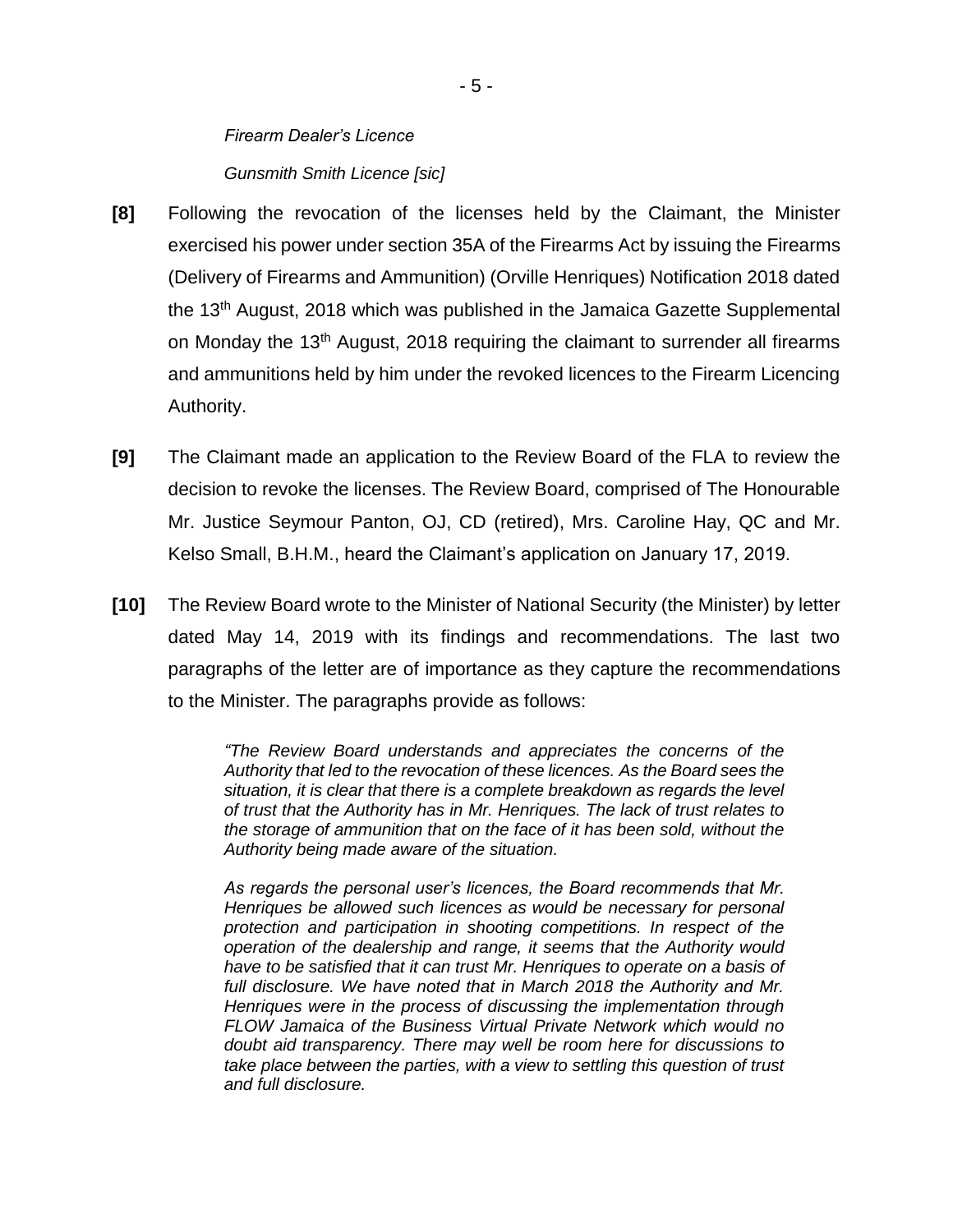## *Firearm Dealer's Licence Gunsmith Smith Licence [sic]*

- **[8]** Following the revocation of the licenses held by the Claimant, the Minister exercised his power under section 35A of the Firearms Act by issuing the Firearms (Delivery of Firearms and Ammunition) (Orville Henriques) Notification 2018 dated the 13th August, 2018 which was published in the Jamaica Gazette Supplemental on Monday the 13th August, 2018 requiring the claimant to surrender all firearms and ammunitions held by him under the revoked licences to the Firearm Licencing Authority.
- **[9]** The Claimant made an application to the Review Board of the FLA to review the decision to revoke the licenses. The Review Board, comprised of The Honourable Mr. Justice Seymour Panton, OJ, CD (retired), Mrs. Caroline Hay, QC and Mr. Kelso Small, B.H.M., heard the Claimant's application on January 17, 2019.
- **[10]** The Review Board wrote to the Minister of National Security (the Minister) by letter dated May 14, 2019 with its findings and recommendations. The last two paragraphs of the letter are of importance as they capture the recommendations to the Minister. The paragraphs provide as follows:

*"The Review Board understands and appreciates the concerns of the Authority that led to the revocation of these licences. As the Board sees the situation, it is clear that there is a complete breakdown as regards the level of trust that the Authority has in Mr. Henriques. The lack of trust relates to the storage of ammunition that on the face of it has been sold, without the Authority being made aware of the situation.* 

*As regards the personal user's licences, the Board recommends that Mr. Henriques be allowed such licences as would be necessary for personal protection and participation in shooting competitions. In respect of the operation of the dealership and range, it seems that the Authority would have to be satisfied that it can trust Mr. Henriques to operate on a basis of full disclosure. We have noted that in March 2018 the Authority and Mr. Henriques were in the process of discussing the implementation through FLOW Jamaica of the Business Virtual Private Network which would no doubt aid transparency. There may well be room here for discussions to*  take place between the parties, with a view to settling this question of trust *and full disclosure.*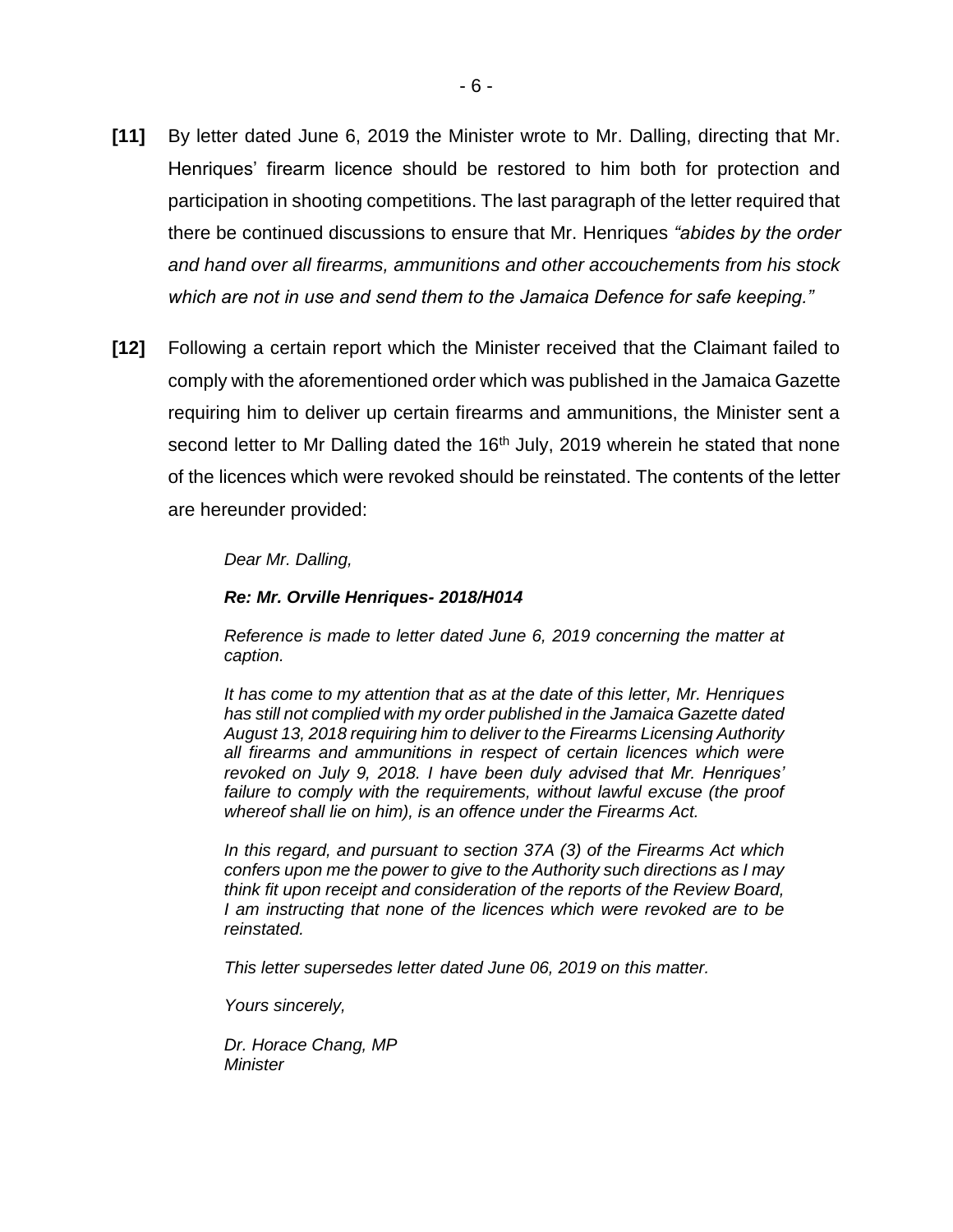- **[11]** By letter dated June 6, 2019 the Minister wrote to Mr. Dalling, directing that Mr. Henriques' firearm licence should be restored to him both for protection and participation in shooting competitions. The last paragraph of the letter required that there be continued discussions to ensure that Mr. Henriques *"abides by the order and hand over all firearms, ammunitions and other accouchements from his stock which are not in use and send them to the Jamaica Defence for safe keeping."*
- **[12]** Following a certain report which the Minister received that the Claimant failed to comply with the aforementioned order which was published in the Jamaica Gazette requiring him to deliver up certain firearms and ammunitions, the Minister sent a second letter to Mr Dalling dated the  $16<sup>th</sup>$  July, 2019 wherein he stated that none of the licences which were revoked should be reinstated. The contents of the letter are hereunder provided:

#### *Dear Mr. Dalling,*

#### *Re: Mr. Orville Henriques- 2018/H014*

*Reference is made to letter dated June 6, 2019 concerning the matter at caption.* 

*It has come to my attention that as at the date of this letter, Mr. Henriques has still not complied with my order published in the Jamaica Gazette dated August 13, 2018 requiring him to deliver to the Firearms Licensing Authority all firearms and ammunitions in respect of certain licences which were revoked on July 9, 2018. I have been duly advised that Mr. Henriques'*  failure to comply with the requirements, without lawful excuse (the proof *whereof shall lie on him), is an offence under the Firearms Act.* 

*In this regard, and pursuant to section 37A (3) of the Firearms Act which confers upon me the power to give to the Authority such directions as I may think fit upon receipt and consideration of the reports of the Review Board, I am instructing that none of the licences which were revoked are to be reinstated.* 

*This letter supersedes letter dated June 06, 2019 on this matter.* 

*Yours sincerely,*

*Dr. Horace Chang, MP Minister*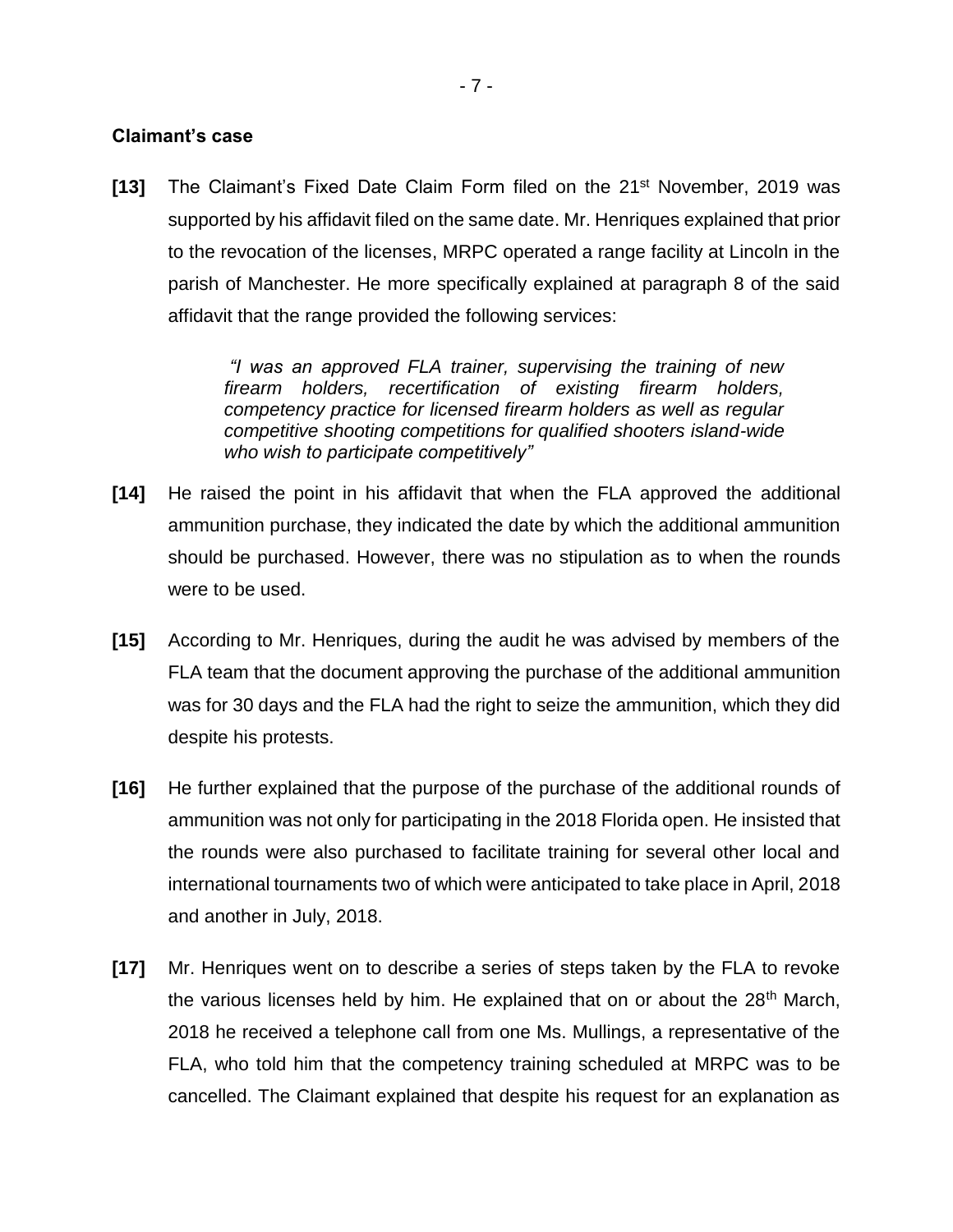#### **Claimant's case**

**[13]** The Claimant's Fixed Date Claim Form filed on the 21st November, 2019 was supported by his affidavit filed on the same date. Mr. Henriques explained that prior to the revocation of the licenses, MRPC operated a range facility at Lincoln in the parish of Manchester. He more specifically explained at paragraph 8 of the said affidavit that the range provided the following services:

> *"I was an approved FLA trainer, supervising the training of new firearm holders, recertification of existing firearm holders, competency practice for licensed firearm holders as well as regular competitive shooting competitions for qualified shooters island-wide who wish to participate competitively"*

- **[14]** He raised the point in his affidavit that when the FLA approved the additional ammunition purchase, they indicated the date by which the additional ammunition should be purchased. However, there was no stipulation as to when the rounds were to be used.
- **[15]** According to Mr. Henriques, during the audit he was advised by members of the FLA team that the document approving the purchase of the additional ammunition was for 30 days and the FLA had the right to seize the ammunition, which they did despite his protests.
- **[16]** He further explained that the purpose of the purchase of the additional rounds of ammunition was not only for participating in the 2018 Florida open. He insisted that the rounds were also purchased to facilitate training for several other local and international tournaments two of which were anticipated to take place in April, 2018 and another in July, 2018.
- **[17]** Mr. Henriques went on to describe a series of steps taken by the FLA to revoke the various licenses held by him. He explained that on or about the 28<sup>th</sup> March, 2018 he received a telephone call from one Ms. Mullings, a representative of the FLA, who told him that the competency training scheduled at MRPC was to be cancelled. The Claimant explained that despite his request for an explanation as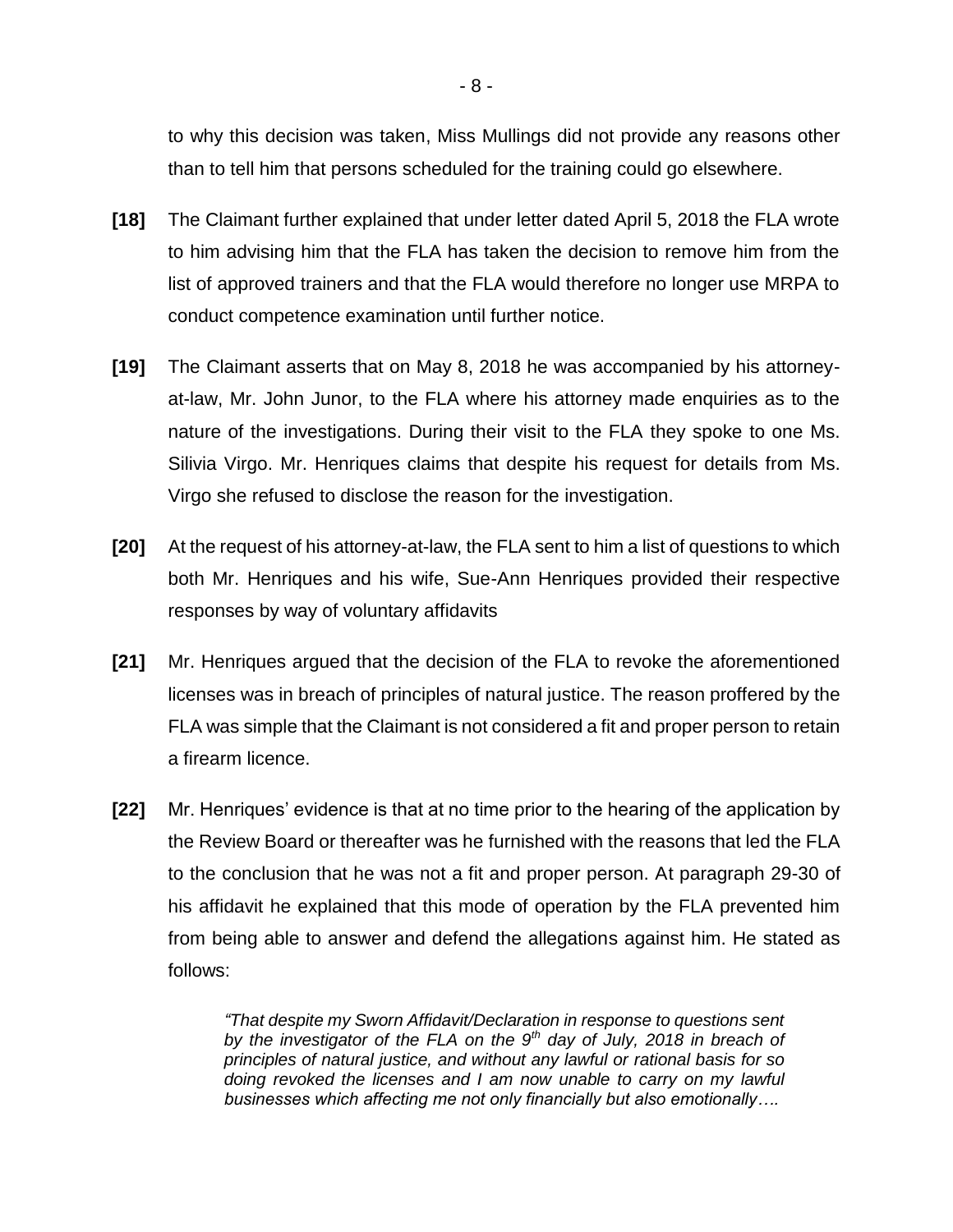to why this decision was taken, Miss Mullings did not provide any reasons other than to tell him that persons scheduled for the training could go elsewhere.

- **[18]** The Claimant further explained that under letter dated April 5, 2018 the FLA wrote to him advising him that the FLA has taken the decision to remove him from the list of approved trainers and that the FLA would therefore no longer use MRPA to conduct competence examination until further notice.
- **[19]** The Claimant asserts that on May 8, 2018 he was accompanied by his attorneyat-law, Mr. John Junor, to the FLA where his attorney made enquiries as to the nature of the investigations. During their visit to the FLA they spoke to one Ms. Silivia Virgo. Mr. Henriques claims that despite his request for details from Ms. Virgo she refused to disclose the reason for the investigation.
- **[20]** At the request of his attorney-at-law, the FLA sent to him a list of questions to which both Mr. Henriques and his wife, Sue-Ann Henriques provided their respective responses by way of voluntary affidavits
- **[21]** Mr. Henriques argued that the decision of the FLA to revoke the aforementioned licenses was in breach of principles of natural justice. The reason proffered by the FLA was simple that the Claimant is not considered a fit and proper person to retain a firearm licence.
- **[22]** Mr. Henriques' evidence is that at no time prior to the hearing of the application by the Review Board or thereafter was he furnished with the reasons that led the FLA to the conclusion that he was not a fit and proper person. At paragraph 29-30 of his affidavit he explained that this mode of operation by the FLA prevented him from being able to answer and defend the allegations against him. He stated as follows:

*"That despite my Sworn Affidavit/Declaration in response to questions sent by the investigator of the FLA on the 9th day of July, 2018 in breach of principles of natural justice, and without any lawful or rational basis for so doing revoked the licenses and I am now unable to carry on my lawful businesses which affecting me not only financially but also emotionally….*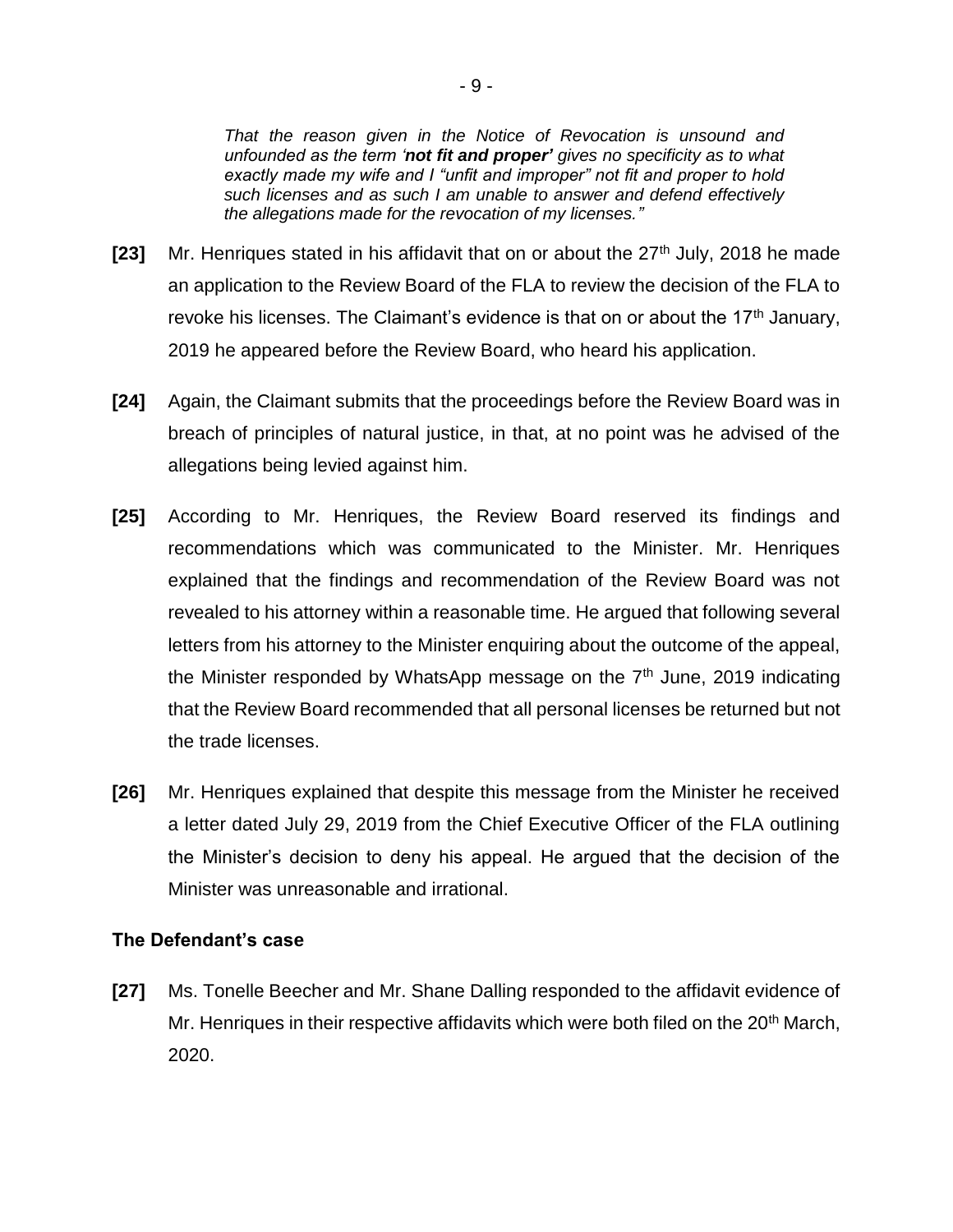*That the reason given in the Notice of Revocation is unsound and unfounded as the term 'not fit and proper' gives no specificity as to what exactly made my wife and I "unfit and improper" not fit and proper to hold such licenses and as such I am unable to answer and defend effectively the allegations made for the revocation of my licenses."*

- **[23]** Mr. Henriques stated in his affidavit that on or about the 27<sup>th</sup> July, 2018 he made an application to the Review Board of the FLA to review the decision of the FLA to revoke his licenses. The Claimant's evidence is that on or about the  $17<sup>th</sup>$  January, 2019 he appeared before the Review Board, who heard his application.
- **[24]** Again, the Claimant submits that the proceedings before the Review Board was in breach of principles of natural justice, in that, at no point was he advised of the allegations being levied against him.
- **[25]** According to Mr. Henriques, the Review Board reserved its findings and recommendations which was communicated to the Minister. Mr. Henriques explained that the findings and recommendation of the Review Board was not revealed to his attorney within a reasonable time. He argued that following several letters from his attorney to the Minister enquiring about the outcome of the appeal, the Minister responded by WhatsApp message on the  $7<sup>th</sup>$  June, 2019 indicating that the Review Board recommended that all personal licenses be returned but not the trade licenses.
- **[26]** Mr. Henriques explained that despite this message from the Minister he received a letter dated July 29, 2019 from the Chief Executive Officer of the FLA outlining the Minister's decision to deny his appeal. He argued that the decision of the Minister was unreasonable and irrational.

#### **The Defendant's case**

**[27]** Ms. Tonelle Beecher and Mr. Shane Dalling responded to the affidavit evidence of Mr. Henriques in their respective affidavits which were both filed on the 20<sup>th</sup> March, 2020.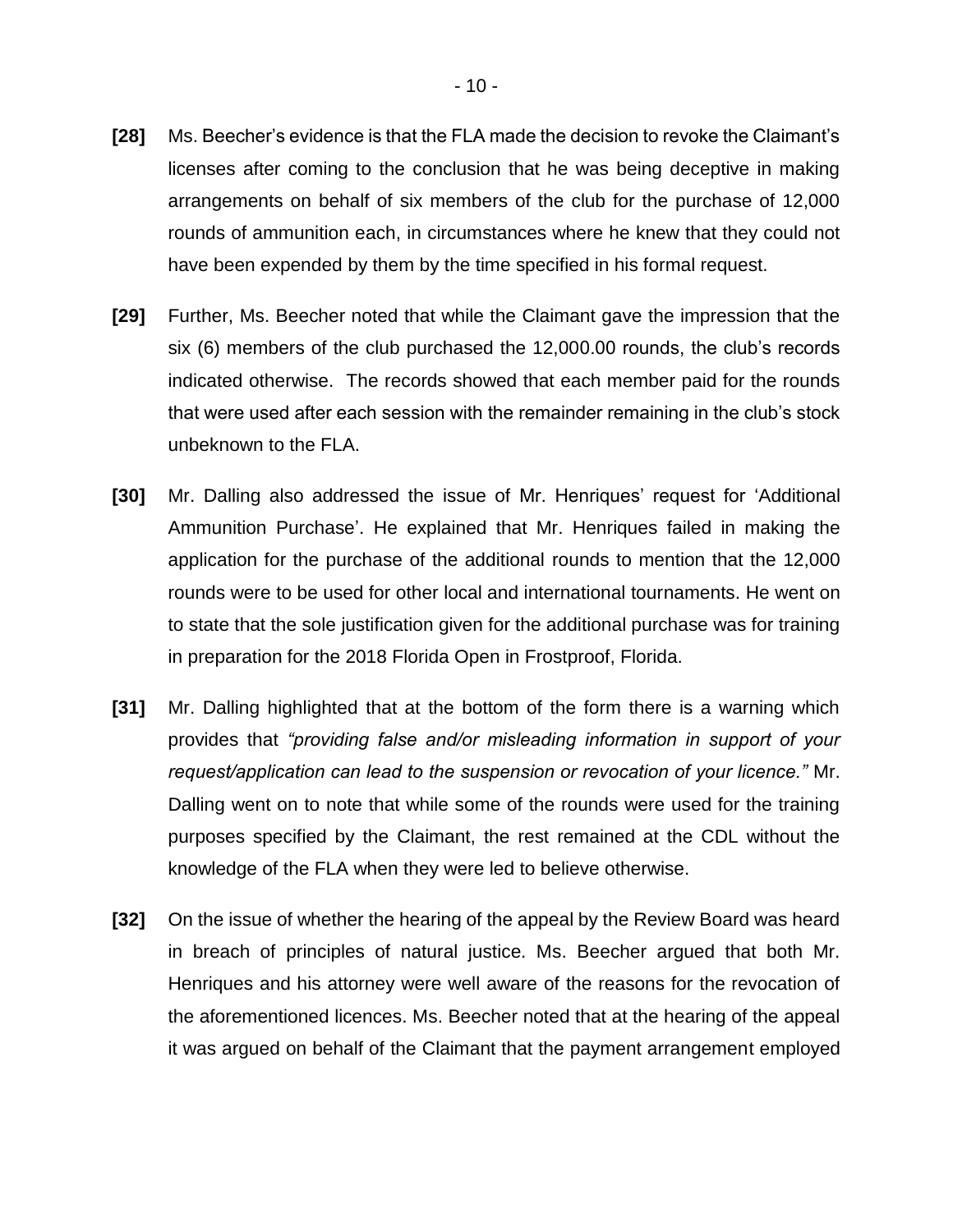- **[28]** Ms. Beecher's evidence is that the FLA made the decision to revoke the Claimant's licenses after coming to the conclusion that he was being deceptive in making arrangements on behalf of six members of the club for the purchase of 12,000 rounds of ammunition each, in circumstances where he knew that they could not have been expended by them by the time specified in his formal request.
- **[29]** Further, Ms. Beecher noted that while the Claimant gave the impression that the six (6) members of the club purchased the 12,000.00 rounds, the club's records indicated otherwise. The records showed that each member paid for the rounds that were used after each session with the remainder remaining in the club's stock unbeknown to the FLA.
- **[30]** Mr. Dalling also addressed the issue of Mr. Henriques' request for 'Additional Ammunition Purchase'. He explained that Mr. Henriques failed in making the application for the purchase of the additional rounds to mention that the 12,000 rounds were to be used for other local and international tournaments. He went on to state that the sole justification given for the additional purchase was for training in preparation for the 2018 Florida Open in Frostproof, Florida.
- **[31]** Mr. Dalling highlighted that at the bottom of the form there is a warning which provides that *"providing false and/or misleading information in support of your request/application can lead to the suspension or revocation of your licence."* Mr. Dalling went on to note that while some of the rounds were used for the training purposes specified by the Claimant, the rest remained at the CDL without the knowledge of the FLA when they were led to believe otherwise.
- **[32]** On the issue of whether the hearing of the appeal by the Review Board was heard in breach of principles of natural justice. Ms. Beecher argued that both Mr. Henriques and his attorney were well aware of the reasons for the revocation of the aforementioned licences. Ms. Beecher noted that at the hearing of the appeal it was argued on behalf of the Claimant that the payment arrangement employed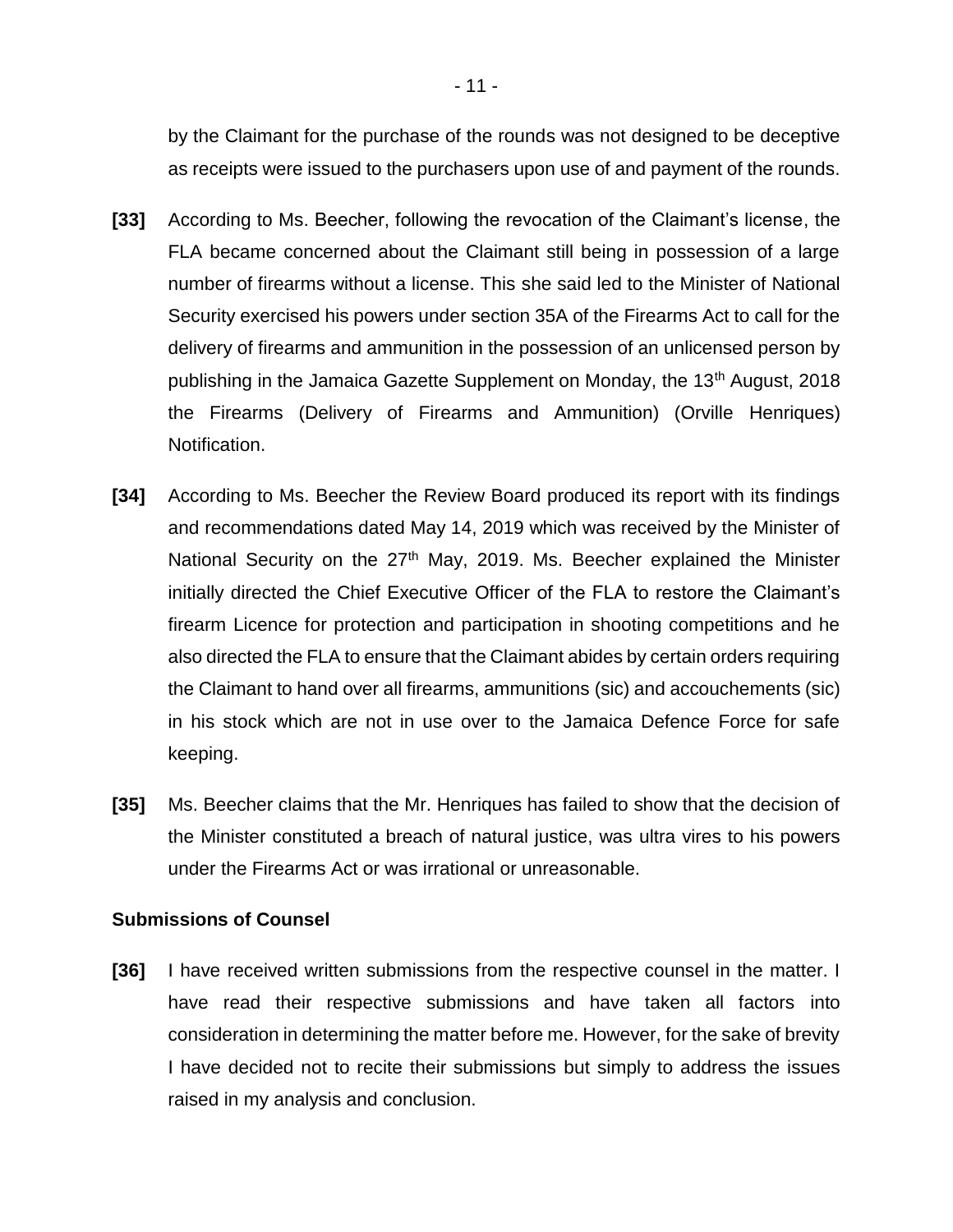by the Claimant for the purchase of the rounds was not designed to be deceptive as receipts were issued to the purchasers upon use of and payment of the rounds.

- **[33]** According to Ms. Beecher, following the revocation of the Claimant's license, the FLA became concerned about the Claimant still being in possession of a large number of firearms without a license. This she said led to the Minister of National Security exercised his powers under section 35A of the Firearms Act to call for the delivery of firearms and ammunition in the possession of an unlicensed person by publishing in the Jamaica Gazette Supplement on Monday, the 13<sup>th</sup> August, 2018 the Firearms (Delivery of Firearms and Ammunition) (Orville Henriques) Notification.
- **[34]** According to Ms. Beecher the Review Board produced its report with its findings and recommendations dated May 14, 2019 which was received by the Minister of National Security on the 27<sup>th</sup> May, 2019. Ms. Beecher explained the Minister initially directed the Chief Executive Officer of the FLA to restore the Claimant's firearm Licence for protection and participation in shooting competitions and he also directed the FLA to ensure that the Claimant abides by certain orders requiring the Claimant to hand over all firearms, ammunitions (sic) and accouchements (sic) in his stock which are not in use over to the Jamaica Defence Force for safe keeping.
- **[35]** Ms. Beecher claims that the Mr. Henriques has failed to show that the decision of the Minister constituted a breach of natural justice, was ultra vires to his powers under the Firearms Act or was irrational or unreasonable.

#### **Submissions of Counsel**

**[36]** I have received written submissions from the respective counsel in the matter. I have read their respective submissions and have taken all factors into consideration in determining the matter before me. However, for the sake of brevity I have decided not to recite their submissions but simply to address the issues raised in my analysis and conclusion.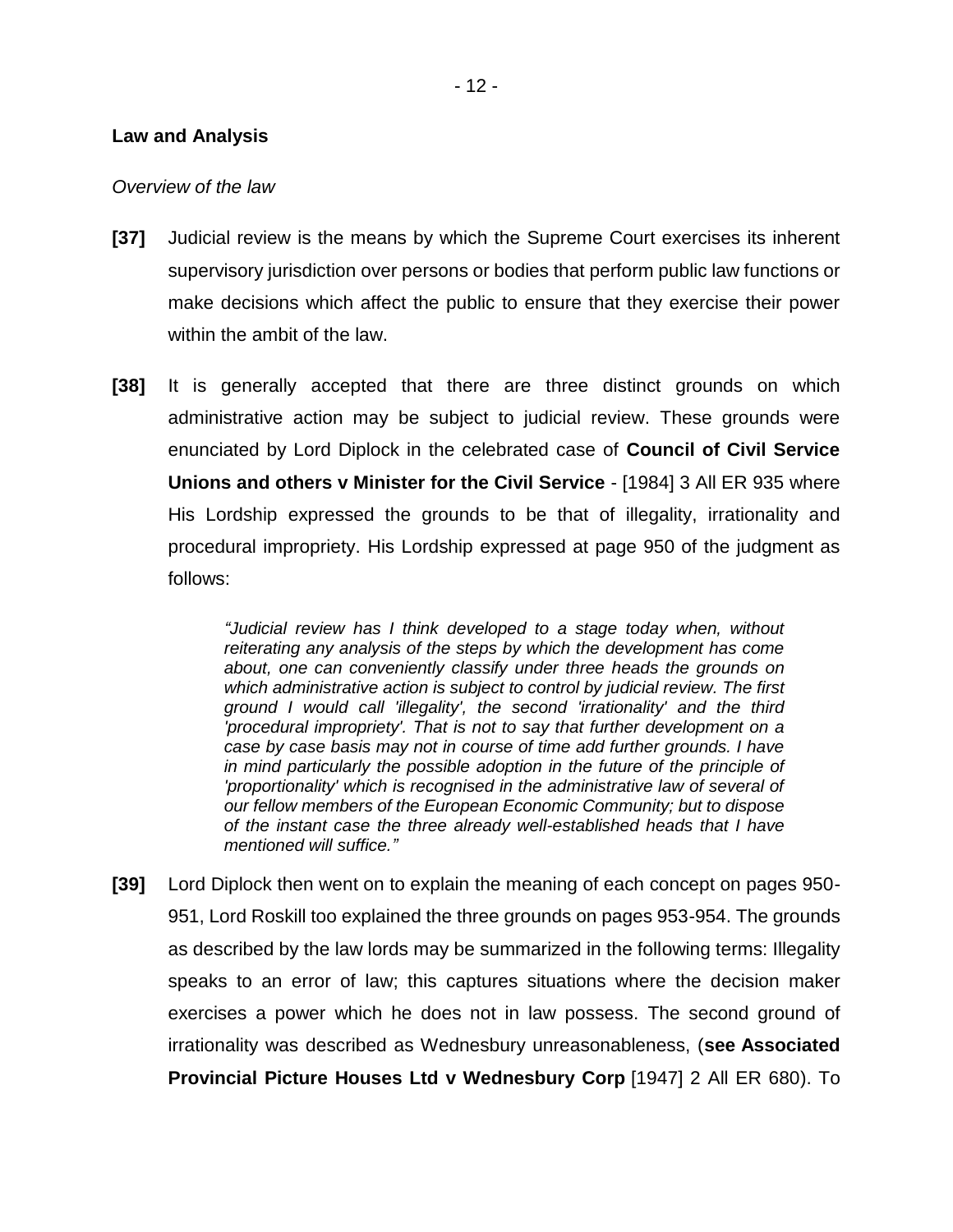#### **Law and Analysis**

#### *Overview of the law*

- **[37]** Judicial review is the means by which the Supreme Court exercises its inherent supervisory jurisdiction over persons or bodies that perform public law functions or make decisions which affect the public to ensure that they exercise their power within the ambit of the law.
- **[38]** It is generally accepted that there are three distinct grounds on which administrative action may be subject to judicial review. These grounds were enunciated by Lord Diplock in the celebrated case of **Council of Civil Service Unions and others v Minister for the Civil Service** - [1984] 3 All ER 935 where His Lordship expressed the grounds to be that of illegality, irrationality and procedural impropriety. His Lordship expressed at page 950 of the judgment as follows:

*"Judicial review has I think developed to a stage today when, without reiterating any analysis of the steps by which the development has come about, one can conveniently classify under three heads the grounds on which administrative action is subject to control by judicial review. The first ground I would call 'illegality', the second 'irrationality' and the third 'procedural impropriety'. That is not to say that further development on a case by case basis may not in course of time add further grounds. I have in mind particularly the possible adoption in the future of the principle of*  'proportionality' which is recognised in the administrative law of several of *our fellow members of the European Economic Community; but to dispose of the instant case the three already well-established heads that I have mentioned will suffice."*

**[39]** Lord Diplock then went on to explain the meaning of each concept on pages 950- 951, Lord Roskill too explained the three grounds on pages 953-954. The grounds as described by the law lords may be summarized in the following terms: Illegality speaks to an error of law; this captures situations where the decision maker exercises a power which he does not in law possess. The second ground of irrationality was described as Wednesbury unreasonableness, (**see Associated Provincial Picture Houses Ltd v Wednesbury Corp** [\[1947\] 2 All ER 680\)](https://www.lexisnexis.com/uk/legal/search/enhRunRemoteLink.do?linkInfo=F%23GB%23ALLER%23sel1%251947%25vol%252%25year%251947%25page%25680%25sel2%252%25&A=0.6522910520815312&backKey=20_T29296412273&service=citation&ersKey=23_T29296412266&langcountry=GB). To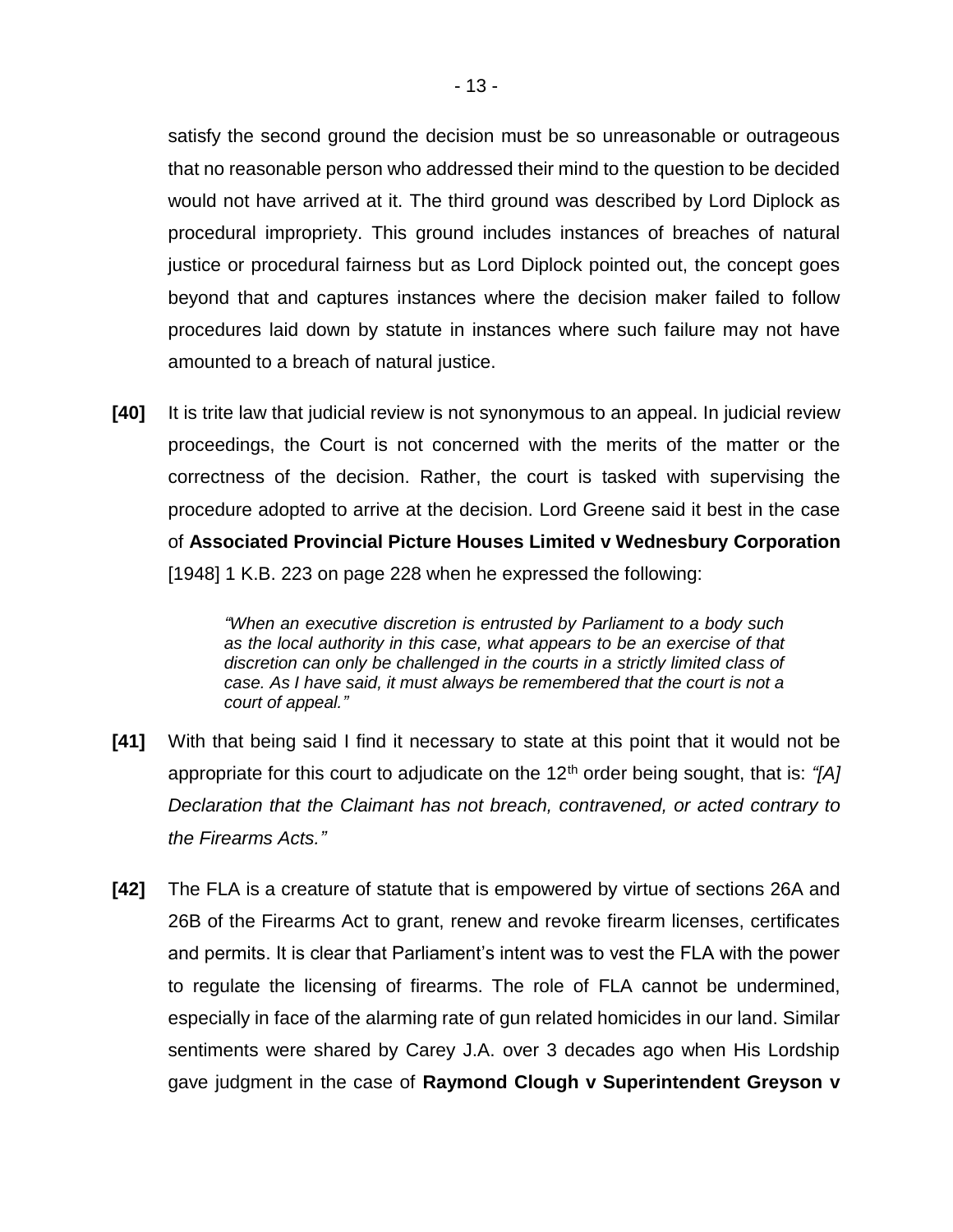satisfy the second ground the decision must be so unreasonable or outrageous that no reasonable person who addressed their mind to the question to be decided would not have arrived at it. The third ground was described by Lord Diplock as procedural impropriety. This ground includes instances of breaches of natural justice or procedural fairness but as Lord Diplock pointed out, the concept goes beyond that and captures instances where the decision maker failed to follow procedures laid down by statute in instances where such failure may not have amounted to a breach of natural justice.

**[40]** It is trite law that judicial review is not synonymous to an appeal. In judicial review proceedings, the Court is not concerned with the merits of the matter or the correctness of the decision. Rather, the court is tasked with supervising the procedure adopted to arrive at the decision. Lord Greene said it best in the case of **Associated Provincial Picture Houses Limited v Wednesbury Corporation** [1948] 1 K.B. 223 on page 228 when he expressed the following:

> *"When an executive discretion is entrusted by Parliament to a body such as the local authority in this case, what appears to be an exercise of that discretion can only be challenged in the courts in a strictly limited class of case. As I have said, it must always be remembered that the court is not a court of appeal."*

- **[41]** With that being said I find it necessary to state at this point that it would not be appropriate for this court to adjudicate on the 12<sup>th</sup> order being sought, that is: "[A] *Declaration that the Claimant has not breach, contravened, or acted contrary to the Firearms Acts."*
- **[42]** The FLA is a creature of statute that is empowered by virtue of sections 26A and 26B of the Firearms Act to grant, renew and revoke firearm licenses, certificates and permits. It is clear that Parliament's intent was to vest the FLA with the power to regulate the licensing of firearms. The role of FLA cannot be undermined, especially in face of the alarming rate of gun related homicides in our land. Similar sentiments were shared by Carey J.A. over 3 decades ago when His Lordship gave judgment in the case of **Raymond Clough v Superintendent Greyson v**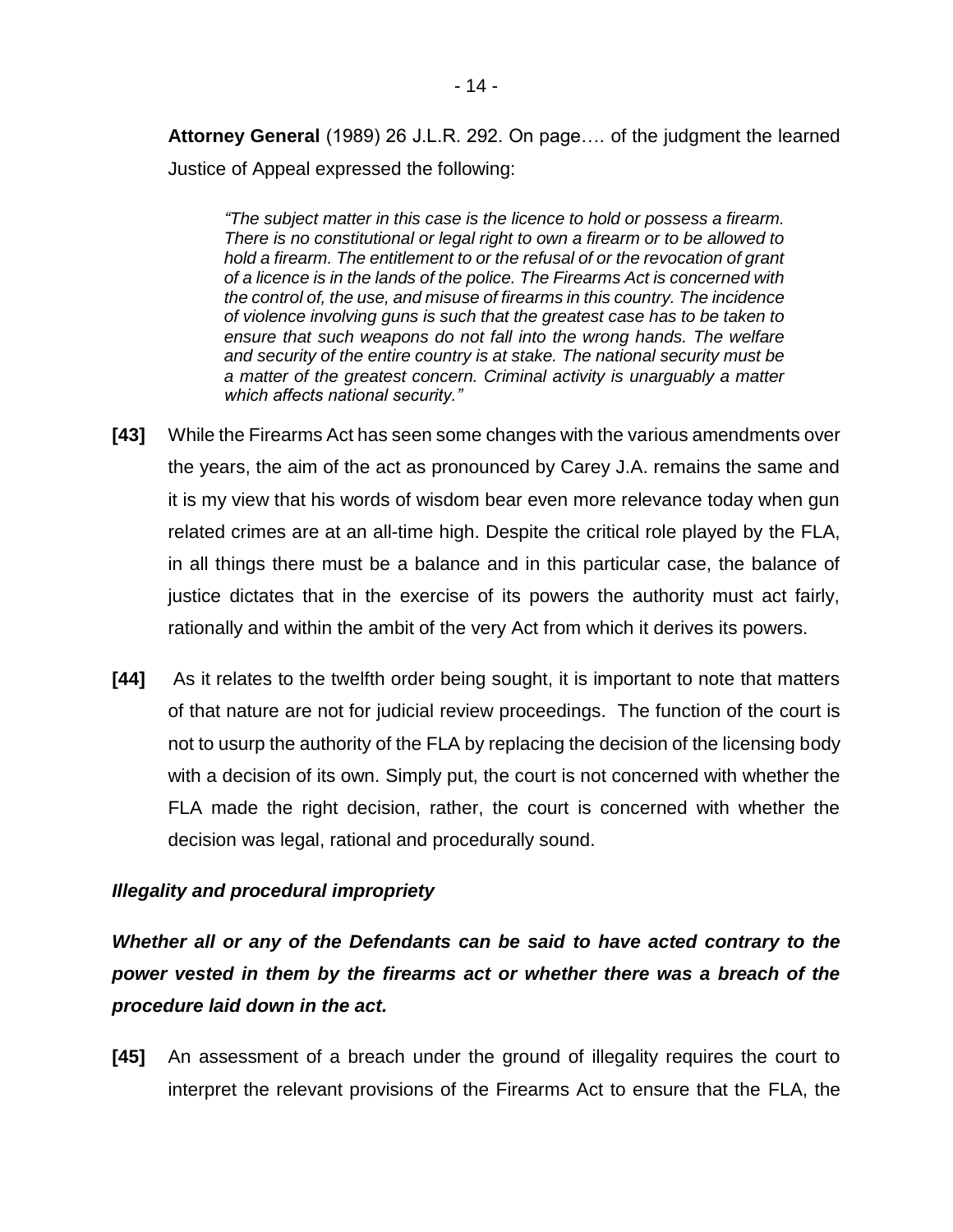**Attorney General** (1989) 26 J.L.R. 292. On page…. of the judgment the learned Justice of Appeal expressed the following:

*"The subject matter in this case is the licence to hold or possess a firearm. There is no constitutional or legal right to own a firearm or to be allowed to hold a firearm. The entitlement to or the refusal of or the revocation of grant of a licence is in the lands of the police. The Firearms Act is concerned with the control of, the use, and misuse of firearms in this country. The incidence of violence involving guns is such that the greatest case has to be taken to ensure that such weapons do not fall into the wrong hands. The welfare and security of the entire country is at stake. The national security must be a matter of the greatest concern. Criminal activity is unarguably a matter which affects national security."*

- **[43]** While the Firearms Act has seen some changes with the various amendments over the years, the aim of the act as pronounced by Carey J.A. remains the same and it is my view that his words of wisdom bear even more relevance today when gun related crimes are at an all-time high. Despite the critical role played by the FLA, in all things there must be a balance and in this particular case, the balance of justice dictates that in the exercise of its powers the authority must act fairly, rationally and within the ambit of the very Act from which it derives its powers.
- **[44]** As it relates to the twelfth order being sought, it is important to note that matters of that nature are not for judicial review proceedings. The function of the court is not to usurp the authority of the FLA by replacing the decision of the licensing body with a decision of its own. Simply put, the court is not concerned with whether the FLA made the right decision, rather, the court is concerned with whether the decision was legal, rational and procedurally sound.

## *Illegality and procedural impropriety*

*Whether all or any of the Defendants can be said to have acted contrary to the power vested in them by the firearms act or whether there was a breach of the procedure laid down in the act.*

**[45]** An assessment of a breach under the ground of illegality requires the court to interpret the relevant provisions of the Firearms Act to ensure that the FLA, the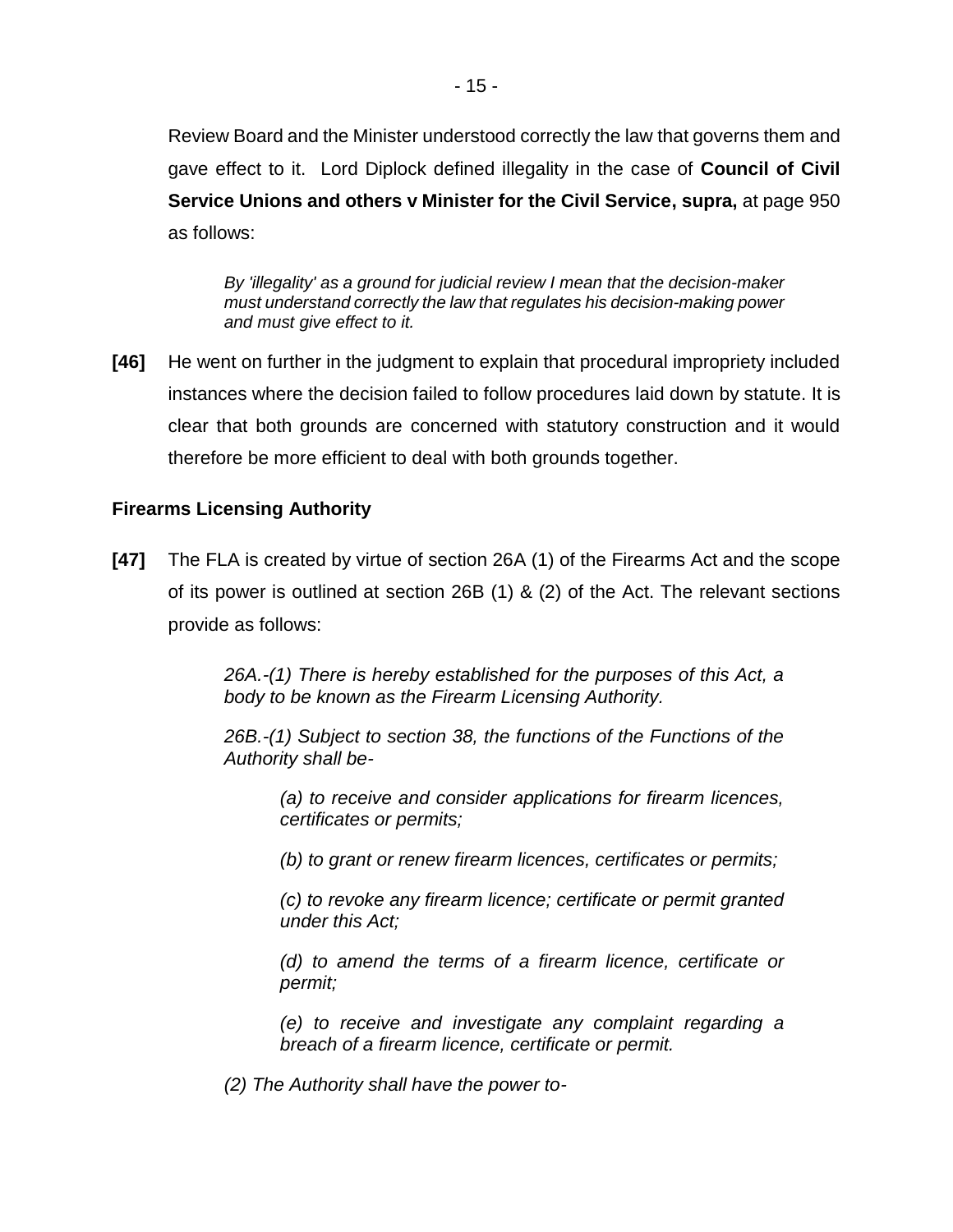Review Board and the Minister understood correctly the law that governs them and gave effect to it. Lord Diplock defined illegality in the case of **Council of Civil Service Unions and others v Minister for the Civil Service, supra,** at page 950 as follows:

*By 'illegality' as a ground for judicial review I mean that the decision-maker must understand correctly the law that regulates his decision-making power and must give effect to it.*

**[46]** He went on further in the judgment to explain that procedural impropriety included instances where the decision failed to follow procedures laid down by statute. It is clear that both grounds are concerned with statutory construction and it would therefore be more efficient to deal with both grounds together.

## **Firearms Licensing Authority**

**[47]** The FLA is created by virtue of section 26A (1) of the Firearms Act and the scope of its power is outlined at section 26B (1) & (2) of the Act. The relevant sections provide as follows:

> *26A.-(1) There is hereby established for the purposes of this Act, a body to be known as the Firearm Licensing Authority.*

> *26B.-(1) Subject to section 38, the functions of the Functions of the Authority shall be-*

*(a) to receive and consider applications for firearm licences, certificates or permits;* 

*(b) to grant or renew firearm licences, certificates or permits;* 

*(c) to revoke any firearm licence; certificate or permit granted under this Act;* 

*(d) to amend the terms of a firearm licence, certificate or permit;* 

*(e) to receive and investigate any complaint regarding a breach of a firearm licence, certificate or permit.* 

*(2) The Authority shall have the power to-*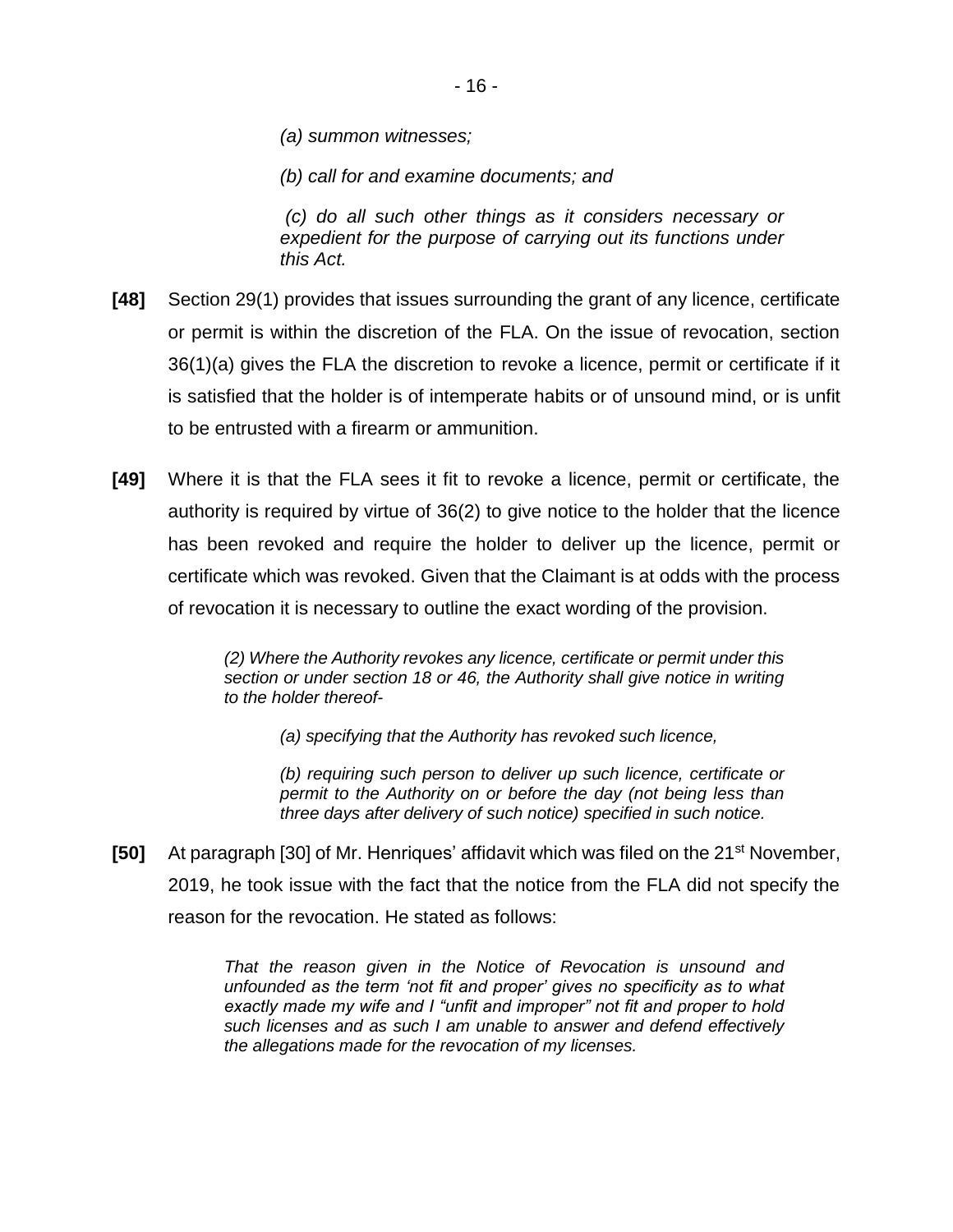*(a) summon witnesses;* 

*(b) call for and examine documents; and*

*(c) do all such other things as it considers necessary or expedient for the purpose of carrying out its functions under this Act.*

- **[48]** Section 29(1) provides that issues surrounding the grant of any licence, certificate or permit is within the discretion of the FLA. On the issue of revocation, section 36(1)(a) gives the FLA the discretion to revoke a licence, permit or certificate if it is satisfied that the holder is of intemperate habits or of unsound mind, or is unfit to be entrusted with a firearm or ammunition.
- **[49]** Where it is that the FLA sees it fit to revoke a licence, permit or certificate, the authority is required by virtue of 36(2) to give notice to the holder that the licence has been revoked and require the holder to deliver up the licence, permit or certificate which was revoked. Given that the Claimant is at odds with the process of revocation it is necessary to outline the exact wording of the provision.

*(2) Where the Authority revokes any licence, certificate or permit under this section or under section 18 or 46, the Authority shall give notice in writing to the holder thereof-*

*(a) specifying that the Authority has revoked such licence,*

*(b) requiring such person to deliver up such licence, certificate or permit to the Authority on or before the day (not being less than three days after delivery of such notice) specified in such notice.*

**[50]** At paragraph [30] of Mr. Henriques' affidavit which was filed on the 21<sup>st</sup> November, 2019, he took issue with the fact that the notice from the FLA did not specify the reason for the revocation. He stated as follows:

> *That the reason given in the Notice of Revocation is unsound and unfounded as the term 'not fit and proper' gives no specificity as to what exactly made my wife and I "unfit and improper" not fit and proper to hold such licenses and as such I am unable to answer and defend effectively the allegations made for the revocation of my licenses.*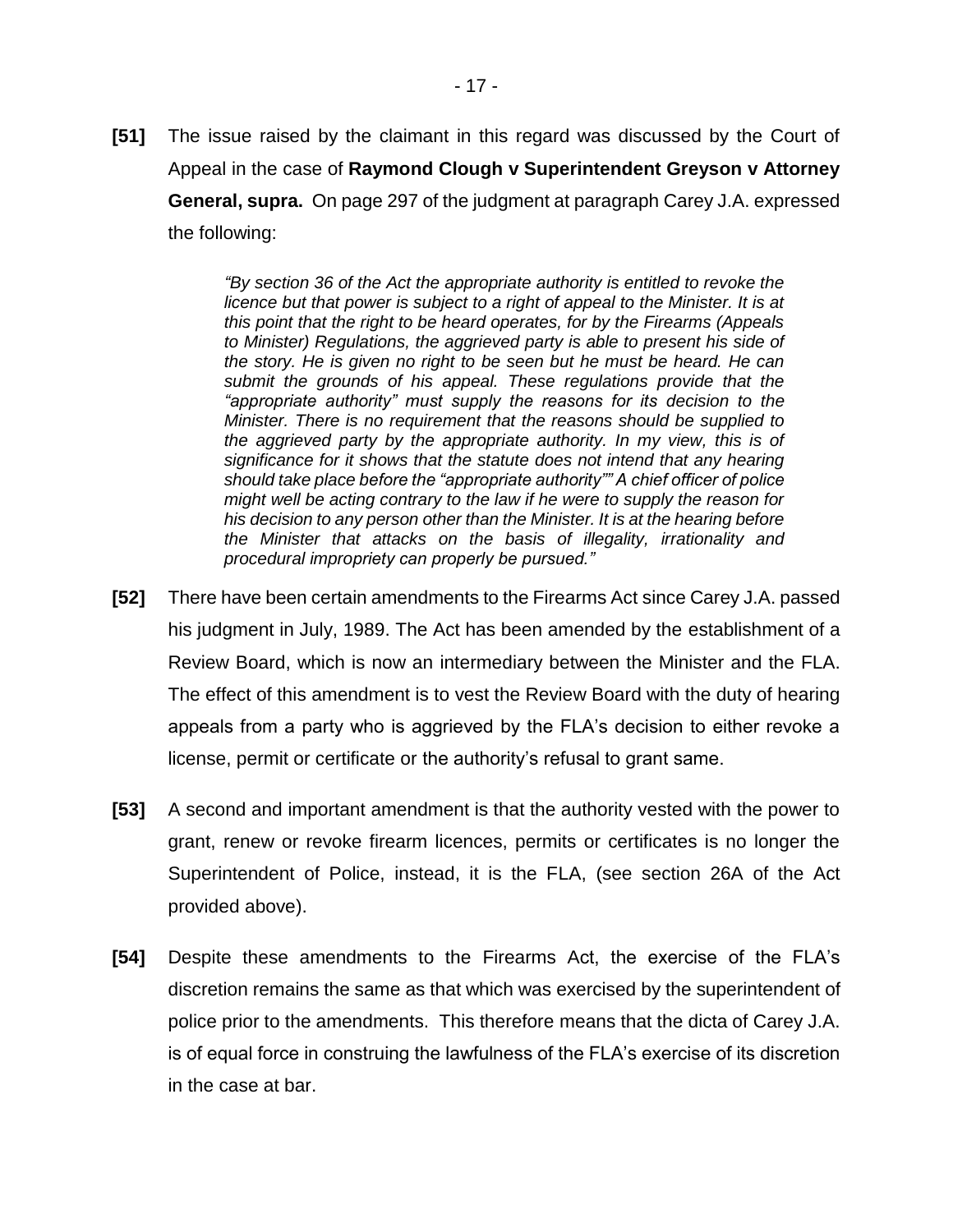**[51]** The issue raised by the claimant in this regard was discussed by the Court of Appeal in the case of **Raymond Clough v Superintendent Greyson v Attorney General, supra.** On page 297 of the judgment at paragraph Carey J.A. expressed the following:

> *"By section 36 of the Act the appropriate authority is entitled to revoke the licence but that power is subject to a right of appeal to the Minister. It is at this point that the right to be heard operates, for by the Firearms (Appeals to Minister) Regulations, the aggrieved party is able to present his side of the story. He is given no right to be seen but he must be heard. He can submit the grounds of his appeal. These regulations provide that the "appropriate authority" must supply the reasons for its decision to the Minister. There is no requirement that the reasons should be supplied to the aggrieved party by the appropriate authority. In my view, this is of significance for it shows that the statute does not intend that any hearing should take place before the "appropriate authority"" A chief officer of police might well be acting contrary to the law if he were to supply the reason for his decision to any person other than the Minister. It is at the hearing before the Minister that attacks on the basis of illegality, irrationality and procedural impropriety can properly be pursued."*

- **[52]** There have been certain amendments to the Firearms Act since Carey J.A. passed his judgment in July, 1989. The Act has been amended by the establishment of a Review Board, which is now an intermediary between the Minister and the FLA. The effect of this amendment is to vest the Review Board with the duty of hearing appeals from a party who is aggrieved by the FLA's decision to either revoke a license, permit or certificate or the authority's refusal to grant same.
- **[53]** A second and important amendment is that the authority vested with the power to grant, renew or revoke firearm licences, permits or certificates is no longer the Superintendent of Police, instead, it is the FLA, (see section 26A of the Act provided above).
- **[54]** Despite these amendments to the Firearms Act, the exercise of the FLA's discretion remains the same as that which was exercised by the superintendent of police prior to the amendments. This therefore means that the dicta of Carey J.A. is of equal force in construing the lawfulness of the FLA's exercise of its discretion in the case at bar.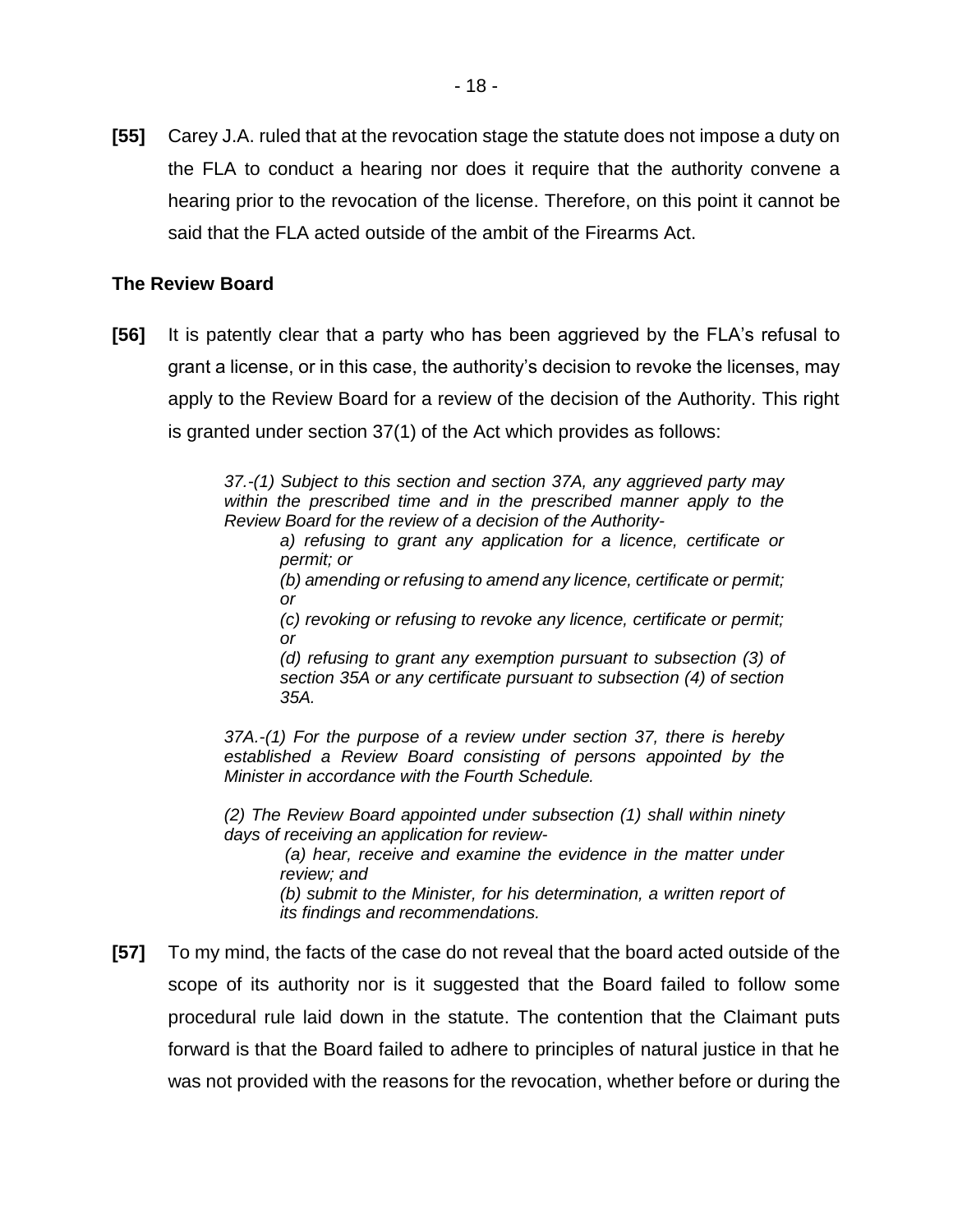**[55]** Carey J.A. ruled that at the revocation stage the statute does not impose a duty on the FLA to conduct a hearing nor does it require that the authority convene a hearing prior to the revocation of the license. Therefore, on this point it cannot be said that the FLA acted outside of the ambit of the Firearms Act.

## **The Review Board**

**[56]** It is patently clear that a party who has been aggrieved by the FLA's refusal to grant a license, or in this case, the authority's decision to revoke the licenses, may apply to the Review Board for a review of the decision of the Authority. This right is granted under section 37(1) of the Act which provides as follows:

> *37.-(1) Subject to this section and section 37A, any aggrieved party may within the prescribed time and in the prescribed manner apply to the Review Board for the review of a decision of the Authority-*

*a) refusing to grant any application for a licence, certificate or permit; or* 

*(b) amending or refusing to amend any licence, certificate or permit; or* 

*(c) revoking or refusing to revoke any licence, certificate or permit; or* 

*(d) refusing to grant any exemption pursuant to subsection (3) of section 35A or any certificate pursuant to subsection (4) of section 35A.*

*37A.-(1) For the purpose of a review under section 37, there is hereby established a Review Board consisting of persons appointed by the Minister in accordance with the Fourth Schedule.*

*(2) The Review Board appointed under subsection (1) shall within ninety days of receiving an application for review-*

*(a) hear, receive and examine the evidence in the matter under review; and* 

*(b) submit to the Minister, for his determination, a written report of its findings and recommendations.*

**[57]** To my mind, the facts of the case do not reveal that the board acted outside of the scope of its authority nor is it suggested that the Board failed to follow some procedural rule laid down in the statute. The contention that the Claimant puts forward is that the Board failed to adhere to principles of natural justice in that he was not provided with the reasons for the revocation, whether before or during the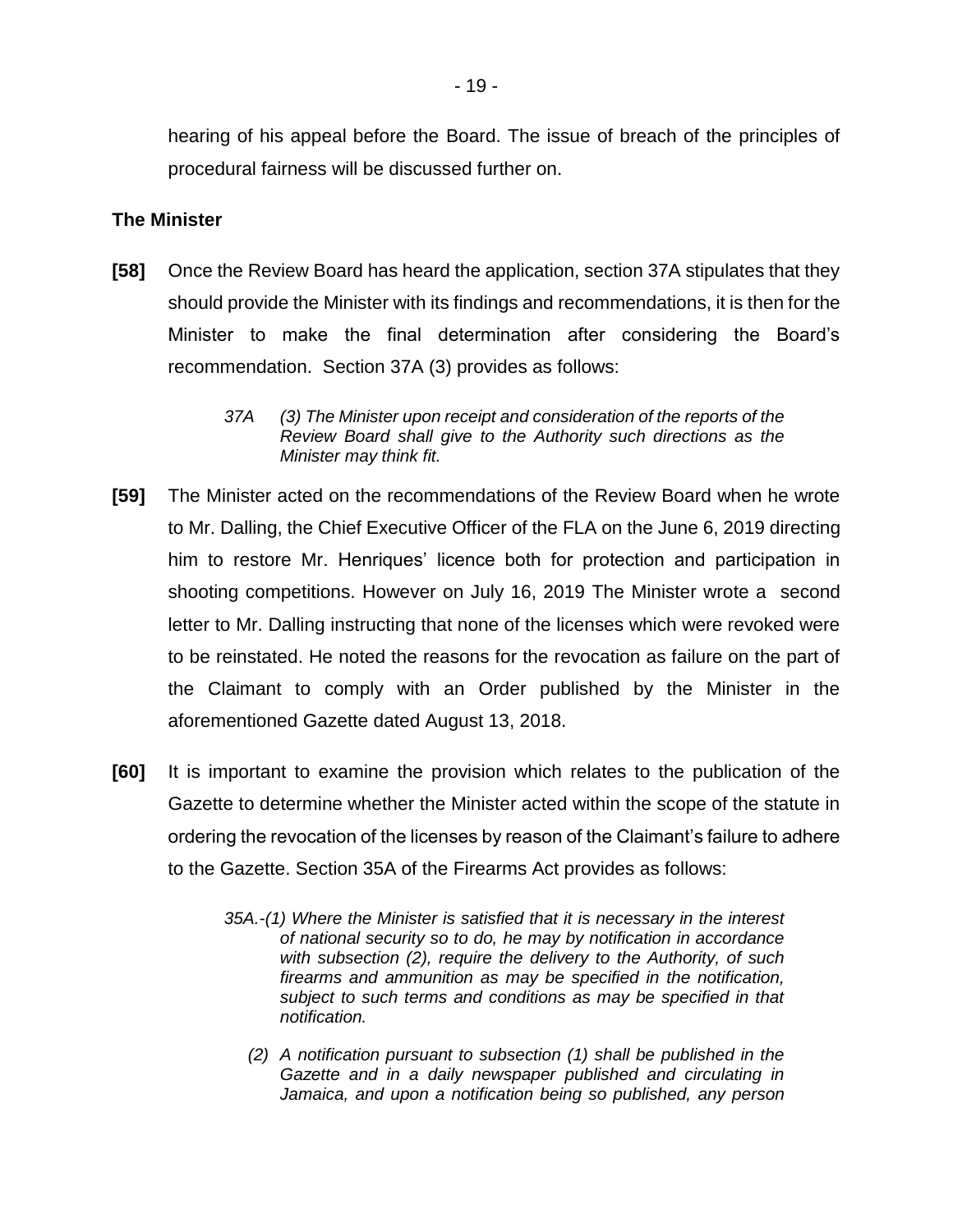hearing of his appeal before the Board. The issue of breach of the principles of procedural fairness will be discussed further on.

#### **The Minister**

**[58]** Once the Review Board has heard the application, section 37A stipulates that they should provide the Minister with its findings and recommendations, it is then for the Minister to make the final determination after considering the Board's recommendation. Section 37A (3) provides as follows:

- **[59]** The Minister acted on the recommendations of the Review Board when he wrote to Mr. Dalling, the Chief Executive Officer of the FLA on the June 6, 2019 directing him to restore Mr. Henriques' licence both for protection and participation in shooting competitions. However on July 16, 2019 The Minister wrote a second letter to Mr. Dalling instructing that none of the licenses which were revoked were to be reinstated. He noted the reasons for the revocation as failure on the part of the Claimant to comply with an Order published by the Minister in the aforementioned Gazette dated August 13, 2018.
- **[60]** It is important to examine the provision which relates to the publication of the Gazette to determine whether the Minister acted within the scope of the statute in ordering the revocation of the licenses by reason of the Claimant's failure to adhere to the Gazette. Section 35A of the Firearms Act provides as follows:
	- *35A.-(1) Where the Minister is satisfied that it is necessary in the interest of national security so to do, he may by notification in accordance with subsection (2), require the delivery to the Authority, of such firearms and ammunition as may be specified in the notification, subject to such terms and conditions as may be specified in that notification.*
		- *(2) A notification pursuant to subsection (1) shall be published in the Gazette and in a daily newspaper published and circulating in Jamaica, and upon a notification being so published, any person*

*<sup>37</sup>A (3) The Minister upon receipt and consideration of the reports of the Review Board shall give to the Authority such directions as the Minister may think fit.*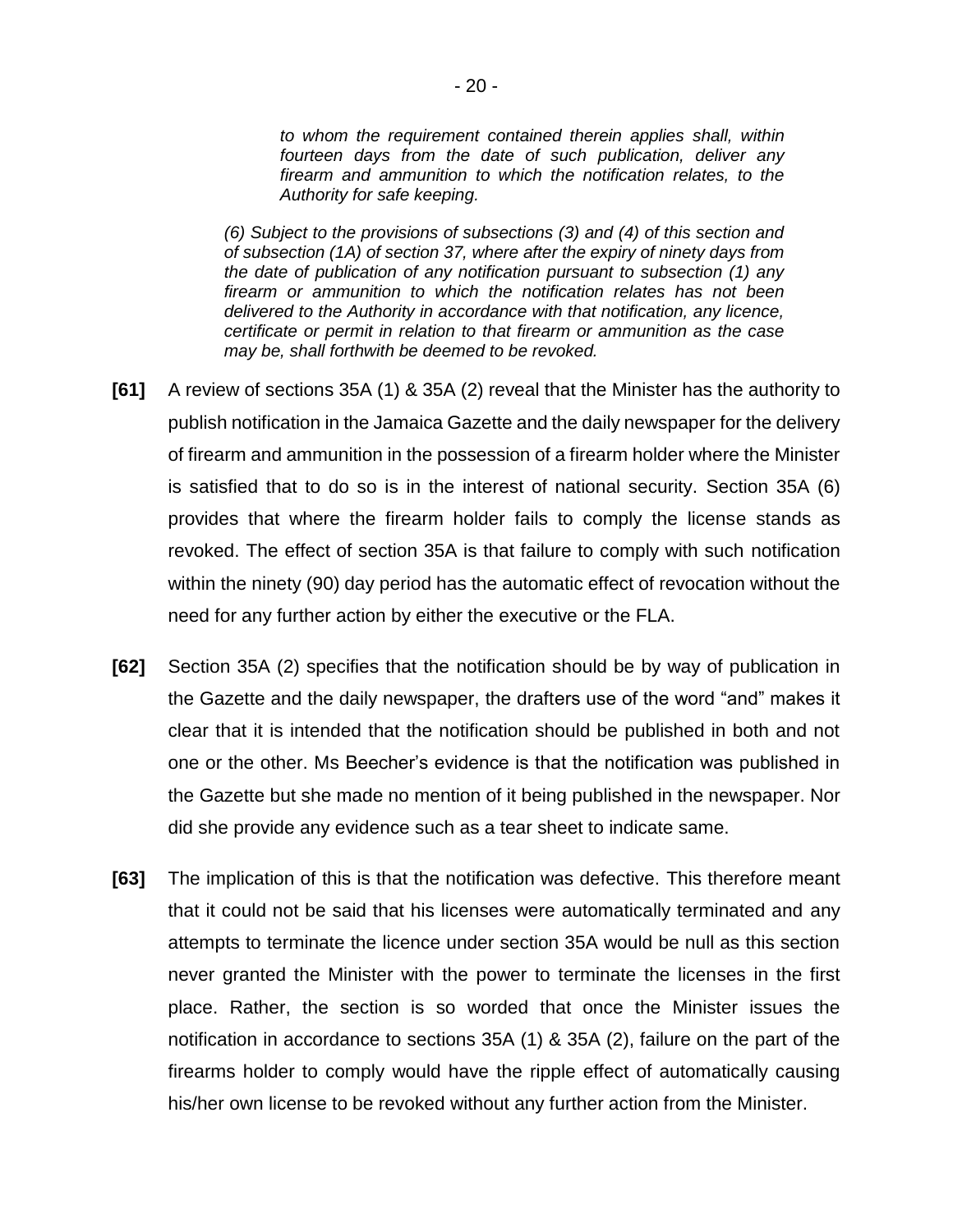*to whom the requirement contained therein applies shall, within fourteen days from the date of such publication, deliver any firearm and ammunition to which the notification relates, to the Authority for safe keeping.*

*(6) Subject to the provisions of subsections (3) and (4) of this section and of subsection (1A) of section 37, where after the expiry of ninety days from the date of publication of any notification pursuant to subsection (1) any firearm or ammunition to which the notification relates has not been delivered to the Authority in accordance with that notification, any licence, certificate or permit in relation to that firearm or ammunition as the case may be, shall forthwith be deemed to be revoked.*

- **[61]** A review of sections 35A (1) & 35A (2) reveal that the Minister has the authority to publish notification in the Jamaica Gazette and the daily newspaper for the delivery of firearm and ammunition in the possession of a firearm holder where the Minister is satisfied that to do so is in the interest of national security. Section 35A (6) provides that where the firearm holder fails to comply the license stands as revoked. The effect of section 35A is that failure to comply with such notification within the ninety (90) day period has the automatic effect of revocation without the need for any further action by either the executive or the FLA.
- **[62]** Section 35A (2) specifies that the notification should be by way of publication in the Gazette and the daily newspaper, the drafters use of the word "and" makes it clear that it is intended that the notification should be published in both and not one or the other. Ms Beecher's evidence is that the notification was published in the Gazette but she made no mention of it being published in the newspaper. Nor did she provide any evidence such as a tear sheet to indicate same.
- **[63]** The implication of this is that the notification was defective. This therefore meant that it could not be said that his licenses were automatically terminated and any attempts to terminate the licence under section 35A would be null as this section never granted the Minister with the power to terminate the licenses in the first place. Rather, the section is so worded that once the Minister issues the notification in accordance to sections 35A (1) & 35A (2), failure on the part of the firearms holder to comply would have the ripple effect of automatically causing his/her own license to be revoked without any further action from the Minister.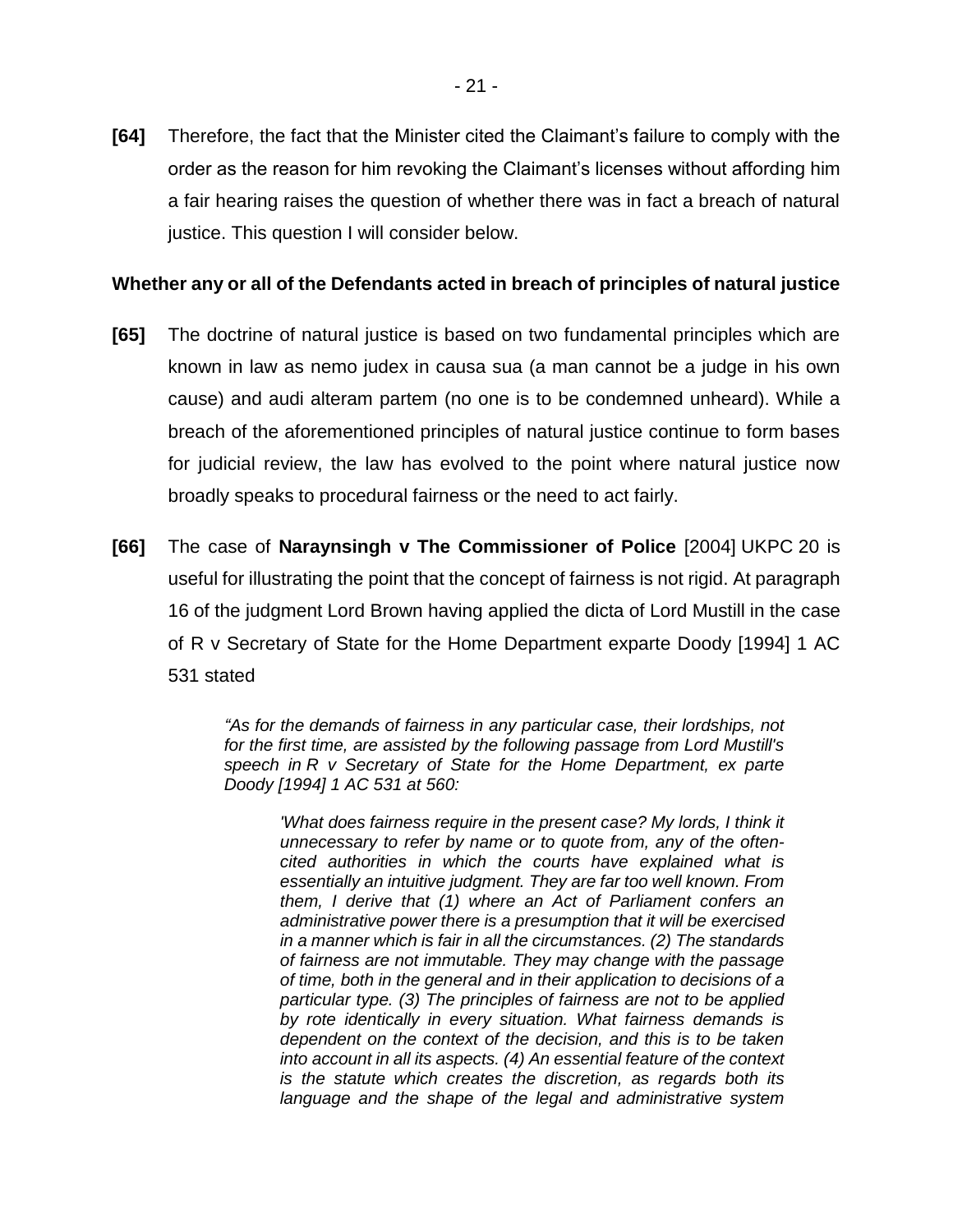**[64]** Therefore, the fact that the Minister cited the Claimant's failure to comply with the order as the reason for him revoking the Claimant's licenses without affording him a fair hearing raises the question of whether there was in fact a breach of natural justice. This question I will consider below.

#### **Whether any or all of the Defendants acted in breach of principles of natural justice**

- **[65]** The doctrine of natural justice is based on two fundamental principles which are known in law as nemo judex in causa sua (a man cannot be a judge in his own cause) and audi alteram partem (no one is to be condemned unheard). While a breach of the aforementioned principles of natural justice continue to form bases for judicial review, the law has evolved to the point where natural justice now broadly speaks to procedural fairness or the need to act fairly.
- **[66]** The case of **Naraynsingh v The Commissioner of Police** [2004] UKPC 20 is useful for illustrating the point that the concept of fairness is not rigid. At paragraph 16 of the judgment Lord Brown having applied the dicta of Lord Mustill in the case of R v Secretary of State for the Home Department exparte Doody [1994] 1 AC 531 stated

*"As for the demands of fairness in any particular case, their lordships, not for the first time, are assisted by the following passage from Lord Mustill's speech in R v Secretary of State for the Home Department, ex parte Doody [\[1994\] 1 AC 531 at 560:](https://www.lexisnexis.com/uk/legal/search/enhRunRemoteLink.do?linkInfo=F%23GB%23AC%23sel1%251994%25vol%251%25tpage%25560%25year%251994%25page%25531%25sel2%251%25&A=0.2062731571551787&backKey=20_T29298420529&service=citation&ersKey=23_T29298419579&langcountry=GB)*

*'What does fairness require in the present case? My lords, I think it unnecessary to refer by name or to quote from, any of the oftencited authorities in which the courts have explained what is essentially an intuitive judgment. They are far too well known. From them, I derive that (1) where an Act of Parliament confers an administrative power there is a presumption that it will be exercised in a manner which is fair in all the circumstances. (2) The standards of fairness are not immutable. They may change with the passage of time, both in the general and in their application to decisions of a particular type. (3) The principles of fairness are not to be applied by rote identically in every situation. What fairness demands is dependent on the context of the decision, and this is to be taken into account in all its aspects. (4) An essential feature of the context is the statute which creates the discretion, as regards both its language and the shape of the legal and administrative system*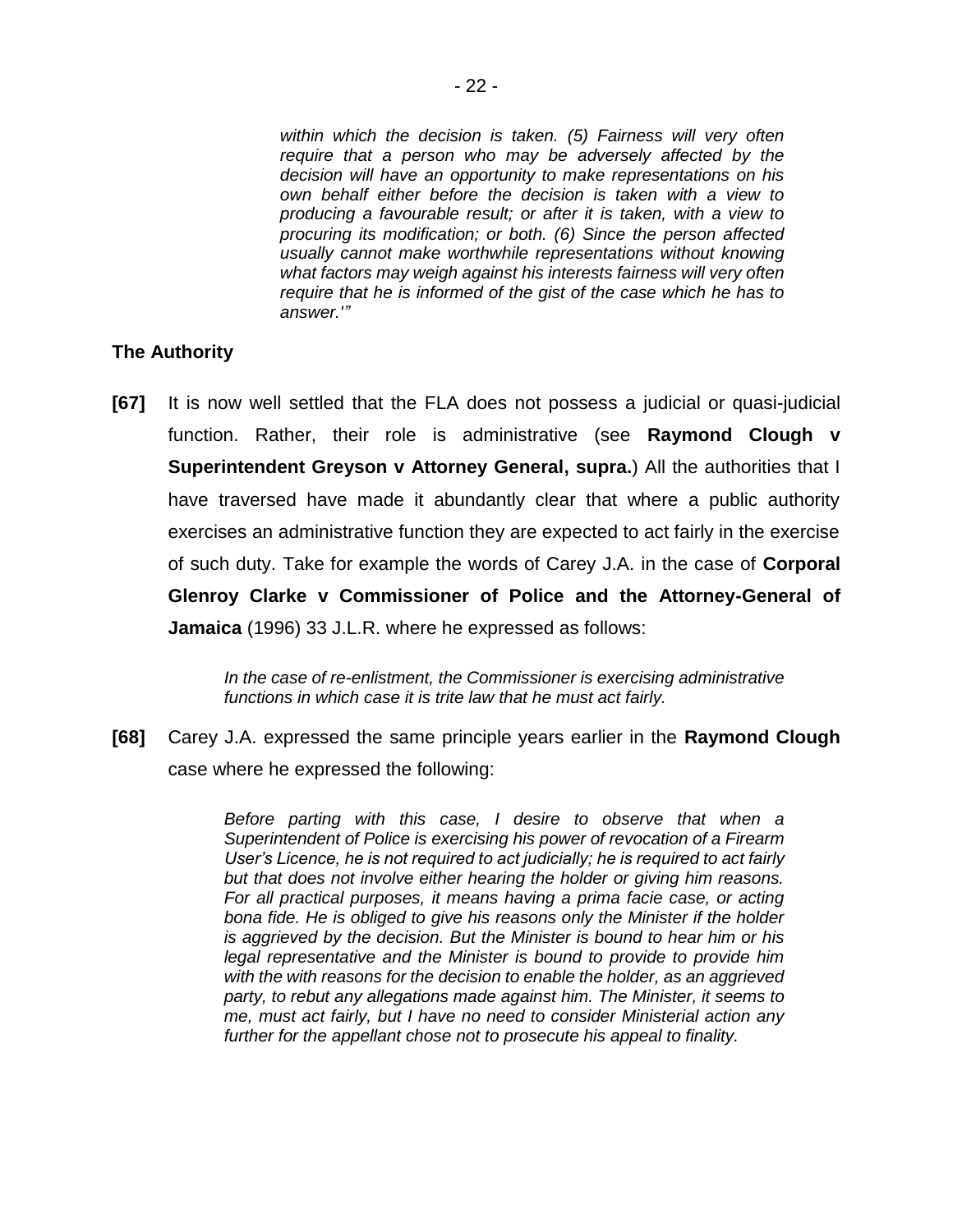*within which the decision is taken. (5) Fairness will very often require that a person who may be adversely affected by the decision will have an opportunity to make representations on his own behalf either before the decision is taken with a view to producing a favourable result; or after it is taken, with a view to procuring its modification; or both. (6) Since the person affected usually cannot make worthwhile representations without knowing what factors may weigh against his interests fairness will very often require that he is informed of the gist of the case which he has to answer.'"*

#### **The Authority**

**[67]** It is now well settled that the FLA does not possess a judicial or quasi-judicial function. Rather, their role is administrative (see **Raymond Clough v Superintendent Greyson v Attorney General, supra.**) All the authorities that I have traversed have made it abundantly clear that where a public authority exercises an administrative function they are expected to act fairly in the exercise of such duty. Take for example the words of Carey J.A. in the case of **Corporal Glenroy Clarke v Commissioner of Police and the Attorney-General of Jamaica** (1996) 33 J.L.R. where he expressed as follows:

> *In the case of re-enlistment, the Commissioner is exercising administrative functions in which case it is trite law that he must act fairly.*

**[68]** Carey J.A. expressed the same principle years earlier in the **Raymond Clough** case where he expressed the following:

> *Before parting with this case, I desire to observe that when a Superintendent of Police is exercising his power of revocation of a Firearm User's Licence, he is not required to act judicially; he is required to act fairly but that does not involve either hearing the holder or giving him reasons. For all practical purposes, it means having a prima facie case, or acting bona fide. He is obliged to give his reasons only the Minister if the holder is aggrieved by the decision. But the Minister is bound to hear him or his legal representative and the Minister is bound to provide to provide him with the with reasons for the decision to enable the holder, as an aggrieved party, to rebut any allegations made against him. The Minister, it seems to me, must act fairly, but I have no need to consider Ministerial action any further for the appellant chose not to prosecute his appeal to finality.*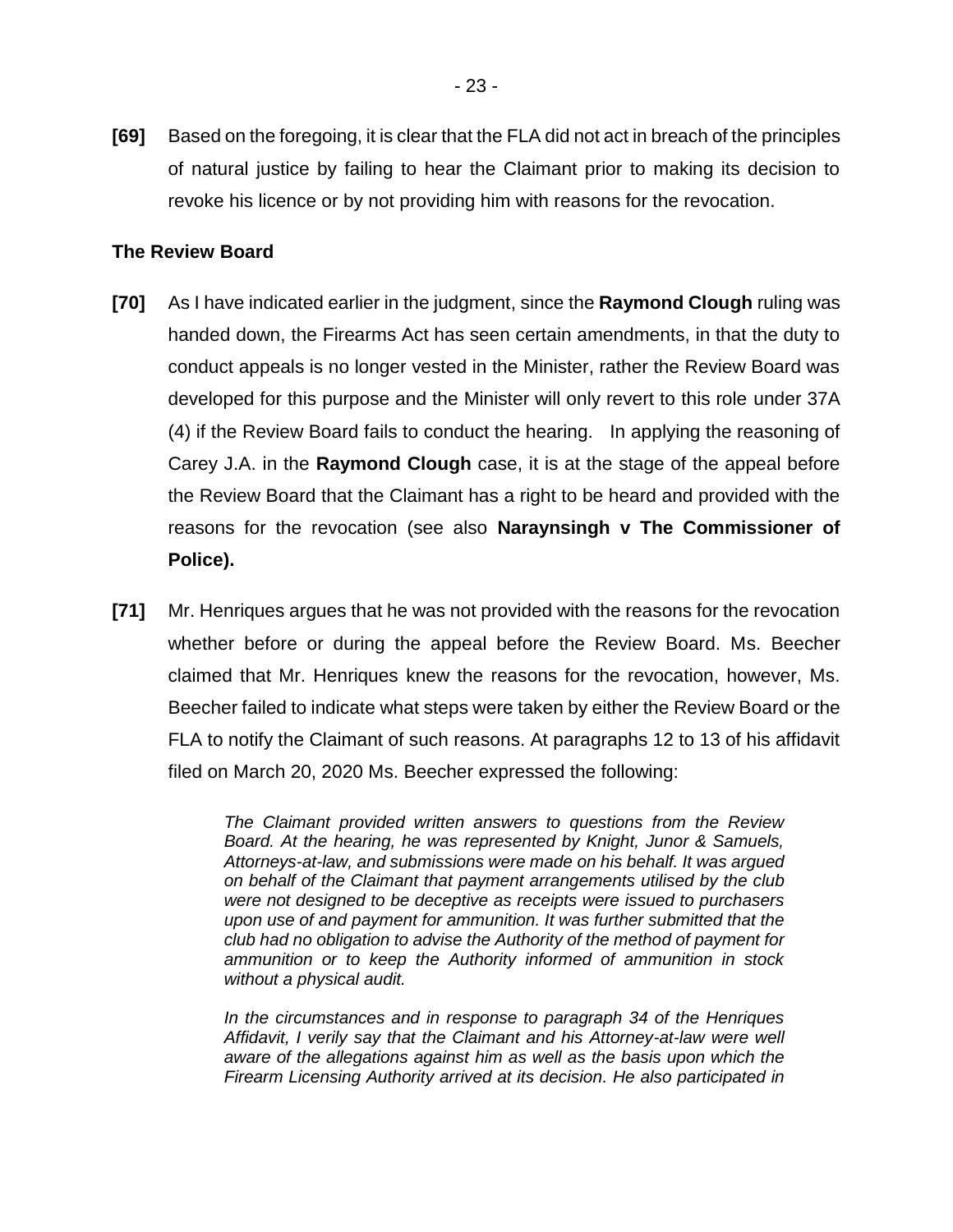**[69]** Based on the foregoing, it is clear that the FLA did not act in breach of the principles of natural justice by failing to hear the Claimant prior to making its decision to revoke his licence or by not providing him with reasons for the revocation.

## **The Review Board**

- **[70]** As I have indicated earlier in the judgment, since the **Raymond Clough** ruling was handed down, the Firearms Act has seen certain amendments, in that the duty to conduct appeals is no longer vested in the Minister, rather the Review Board was developed for this purpose and the Minister will only revert to this role under 37A (4) if the Review Board fails to conduct the hearing. In applying the reasoning of Carey J.A. in the **Raymond Clough** case, it is at the stage of the appeal before the Review Board that the Claimant has a right to be heard and provided with the reasons for the revocation (see also **Naraynsingh v The Commissioner of Police).**
- **[71]** Mr. Henriques argues that he was not provided with the reasons for the revocation whether before or during the appeal before the Review Board. Ms. Beecher claimed that Mr. Henriques knew the reasons for the revocation, however, Ms. Beecher failed to indicate what steps were taken by either the Review Board or the FLA to notify the Claimant of such reasons. At paragraphs 12 to 13 of his affidavit filed on March 20, 2020 Ms. Beecher expressed the following:

*The Claimant provided written answers to questions from the Review Board. At the hearing, he was represented by Knight, Junor & Samuels, Attorneys-at-law, and submissions were made on his behalf. It was argued on behalf of the Claimant that payment arrangements utilised by the club were not designed to be deceptive as receipts were issued to purchasers upon use of and payment for ammunition. It was further submitted that the club had no obligation to advise the Authority of the method of payment for ammunition or to keep the Authority informed of ammunition in stock without a physical audit.* 

*In the circumstances and in response to paragraph 34 of the Henriques Affidavit, I verily say that the Claimant and his Attorney-at-law were well aware of the allegations against him as well as the basis upon which the Firearm Licensing Authority arrived at its decision. He also participated in*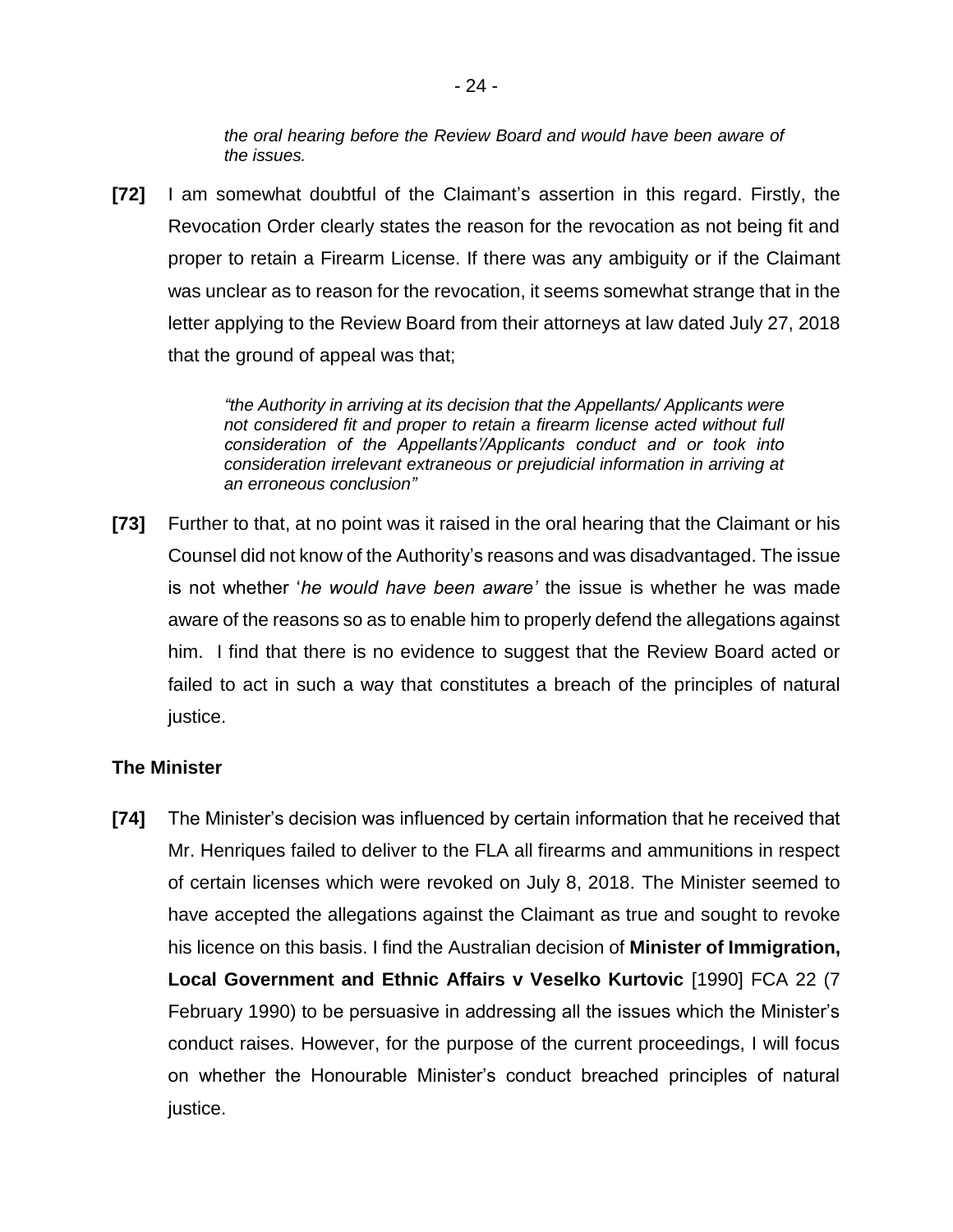*the oral hearing before the Review Board and would have been aware of the issues.* 

**[72]** I am somewhat doubtful of the Claimant's assertion in this regard. Firstly, the Revocation Order clearly states the reason for the revocation as not being fit and proper to retain a Firearm License. If there was any ambiguity or if the Claimant was unclear as to reason for the revocation, it seems somewhat strange that in the letter applying to the Review Board from their attorneys at law dated July 27, 2018 that the ground of appeal was that;

> *"the Authority in arriving at its decision that the Appellants/ Applicants were not considered fit and proper to retain a firearm license acted without full consideration of the Appellants'/Applicants conduct and or took into consideration irrelevant extraneous or prejudicial information in arriving at an erroneous conclusion"*

**[73]** Further to that, at no point was it raised in the oral hearing that the Claimant or his Counsel did not know of the Authority's reasons and was disadvantaged. The issue is not whether '*he would have been aware'* the issue is whether he was made aware of the reasons so as to enable him to properly defend the allegations against him. I find that there is no evidence to suggest that the Review Board acted or failed to act in such a way that constitutes a breach of the principles of natural justice.

#### **The Minister**

**[74]** The Minister's decision was influenced by certain information that he received that Mr. Henriques failed to deliver to the FLA all firearms and ammunitions in respect of certain licenses which were revoked on July 8, 2018. The Minister seemed to have accepted the allegations against the Claimant as true and sought to revoke his licence on this basis. I find the Australian decision of **Minister of Immigration, Local Government and Ethnic Affairs v Veselko Kurtovic** [1990] FCA 22 (7 February 1990) to be persuasive in addressing all the issues which the Minister's conduct raises. However, for the purpose of the current proceedings, I will focus on whether the Honourable Minister's conduct breached principles of natural justice.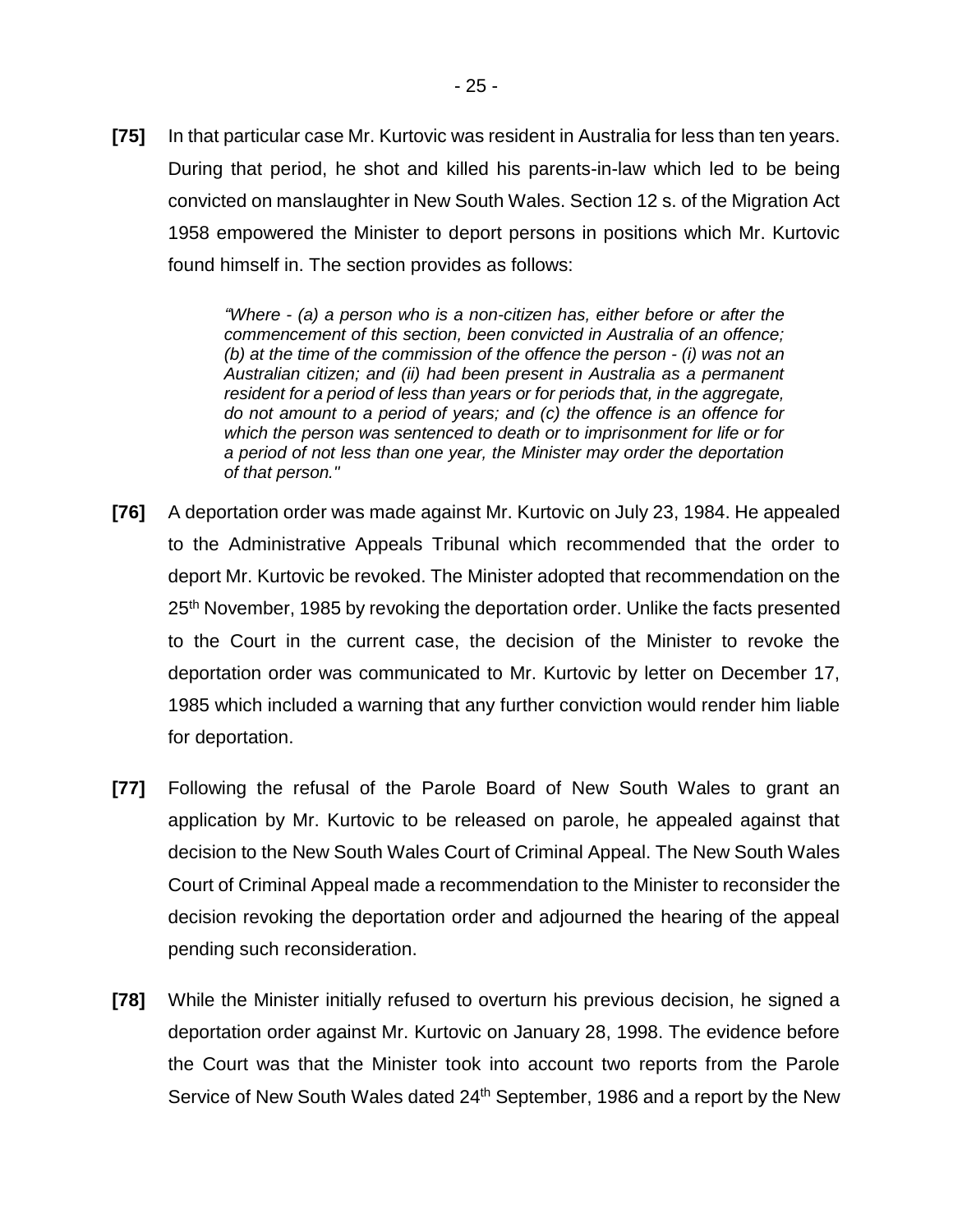**[75]** In that particular case Mr. Kurtovic was resident in Australia for less than ten years. During that period, he shot and killed his parents-in-law which led to be being convicted on manslaughter in New South Wales. Section 12 s. of the Migration Act 1958 empowered the Minister to deport persons in positions which Mr. Kurtovic found himself in. The section provides as follows:

> *"Where - (a) a person who is a non-citizen has, either before or after the commencement of this section, been convicted in Australia of an offence; (b) at the time of the commission of the offence the person - (i) was not an Australian citizen; and (ii) had been present in Australia as a permanent resident for a period of less than years or for periods that, in the aggregate, do not amount to a period of years; and (c) the offence is an offence for which the person was sentenced to death or to imprisonment for life or for a period of not less than one year, the Minister may order the deportation of that person."*

- **[76]** A deportation order was made against Mr. Kurtovic on July 23, 1984. He appealed to the Administrative Appeals Tribunal which recommended that the order to deport Mr. Kurtovic be revoked. The Minister adopted that recommendation on the 25<sup>th</sup> November, 1985 by revoking the deportation order. Unlike the facts presented to the Court in the current case, the decision of the Minister to revoke the deportation order was communicated to Mr. Kurtovic by letter on December 17, 1985 which included a warning that any further conviction would render him liable for deportation.
- **[77]** Following the refusal of the Parole Board of New South Wales to grant an application by Mr. Kurtovic to be released on parole, he appealed against that decision to the New South Wales Court of Criminal Appeal. The New South Wales Court of Criminal Appeal made a recommendation to the Minister to reconsider the decision revoking the deportation order and adjourned the hearing of the appeal pending such reconsideration.
- **[78]** While the Minister initially refused to overturn his previous decision, he signed a deportation order against Mr. Kurtovic on January 28, 1998. The evidence before the Court was that the Minister took into account two reports from the Parole Service of New South Wales dated 24<sup>th</sup> September, 1986 and a report by the New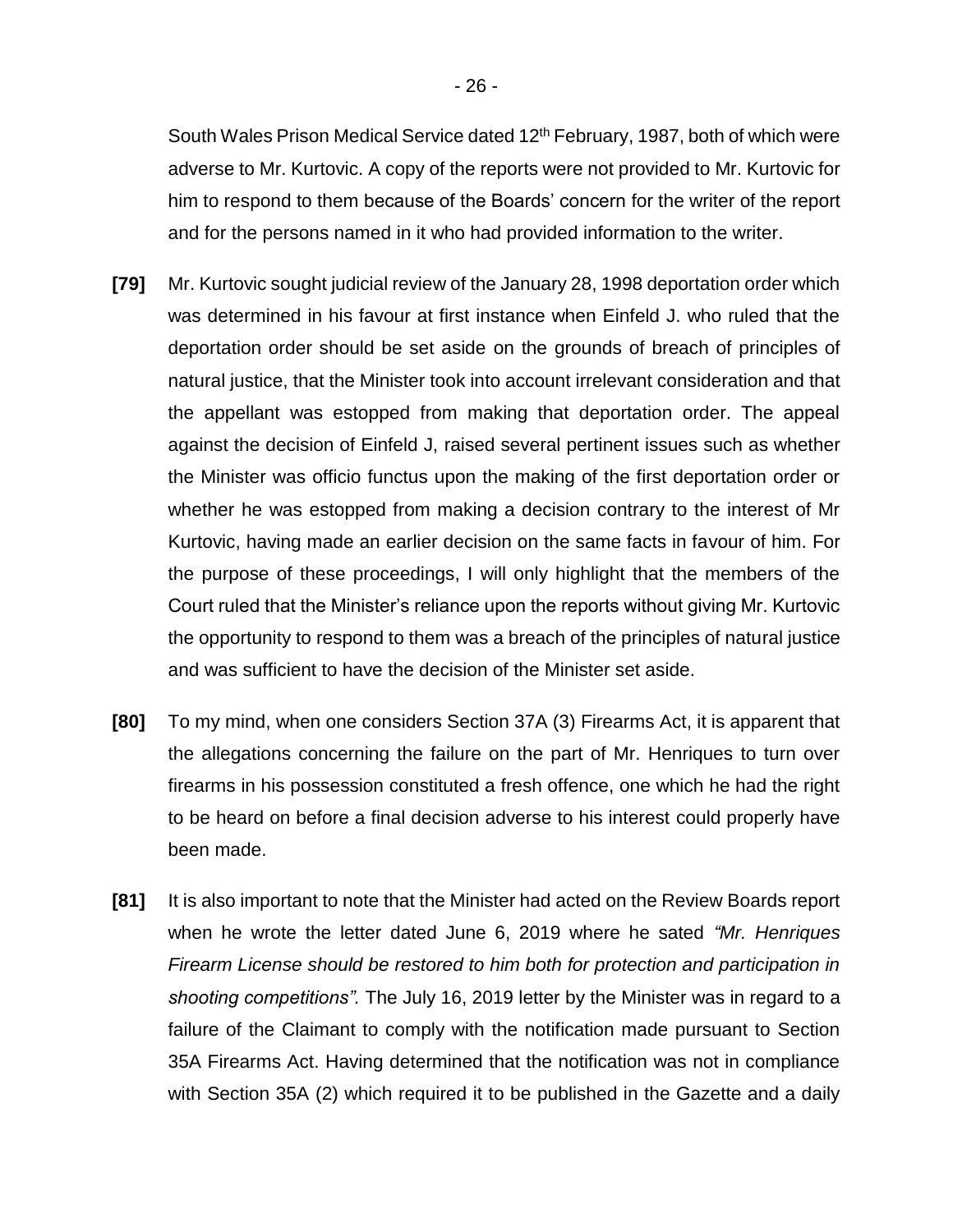South Wales Prison Medical Service dated 12<sup>th</sup> February, 1987, both of which were adverse to Mr. Kurtovic. A copy of the reports were not provided to Mr. Kurtovic for him to respond to them because of the Boards' concern for the writer of the report and for the persons named in it who had provided information to the writer.

- **[79]** Mr. Kurtovic sought judicial review of the January 28, 1998 deportation order which was determined in his favour at first instance when Einfeld J. who ruled that the deportation order should be set aside on the grounds of breach of principles of natural justice, that the Minister took into account irrelevant consideration and that the appellant was estopped from making that deportation order. The appeal against the decision of Einfeld J, raised several pertinent issues such as whether the Minister was officio functus upon the making of the first deportation order or whether he was estopped from making a decision contrary to the interest of Mr Kurtovic, having made an earlier decision on the same facts in favour of him. For the purpose of these proceedings, I will only highlight that the members of the Court ruled that the Minister's reliance upon the reports without giving Mr. Kurtovic the opportunity to respond to them was a breach of the principles of natural justice and was sufficient to have the decision of the Minister set aside.
- **[80]** To my mind, when one considers Section 37A (3) Firearms Act, it is apparent that the allegations concerning the failure on the part of Mr. Henriques to turn over firearms in his possession constituted a fresh offence, one which he had the right to be heard on before a final decision adverse to his interest could properly have been made.
- **[81]** It is also important to note that the Minister had acted on the Review Boards report when he wrote the letter dated June 6, 2019 where he sated *"Mr. Henriques Firearm License should be restored to him both for protection and participation in shooting competitions".* The July 16, 2019 letter by the Minister was in regard to a failure of the Claimant to comply with the notification made pursuant to Section 35A Firearms Act. Having determined that the notification was not in compliance with Section 35A (2) which required it to be published in the Gazette and a daily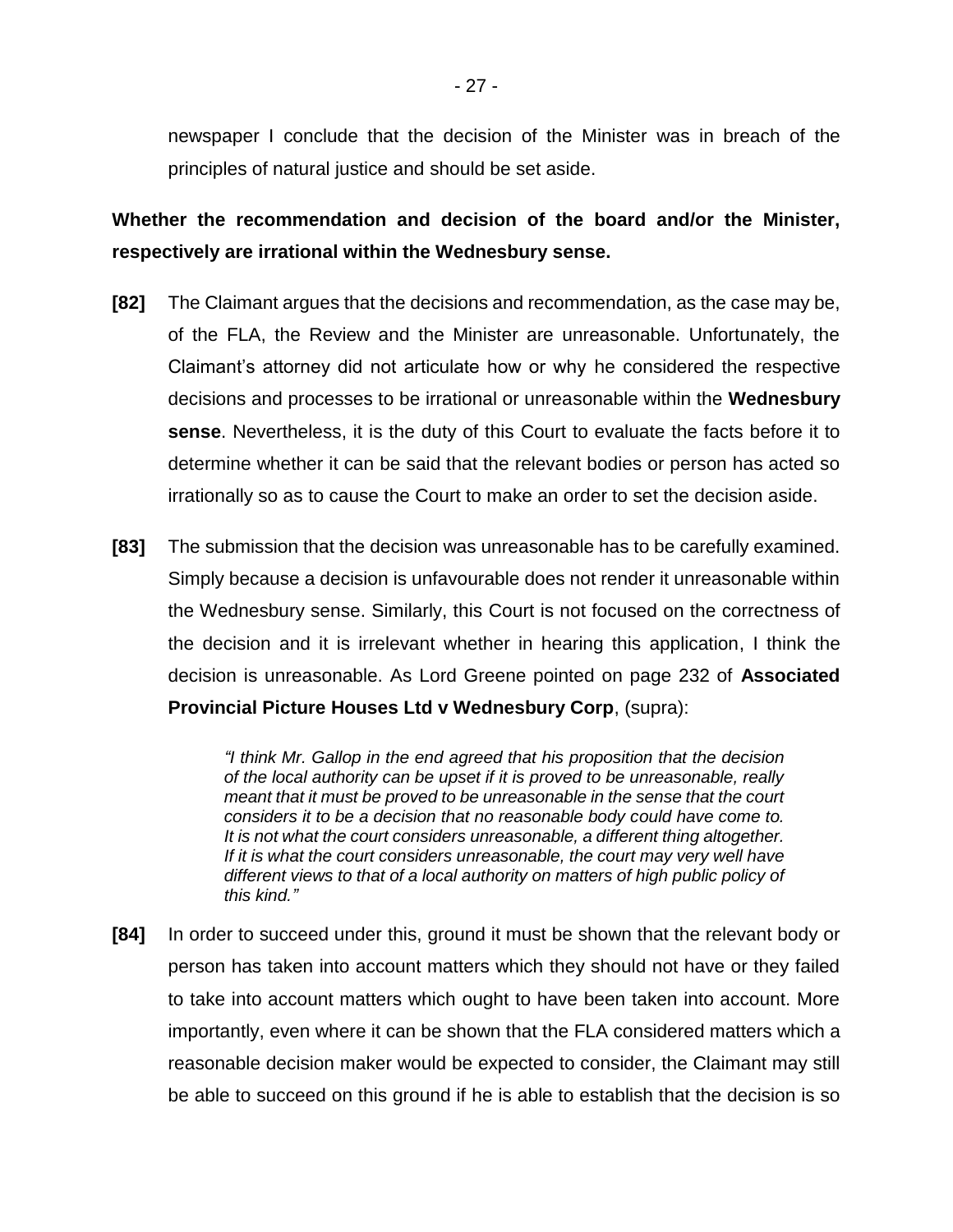newspaper I conclude that the decision of the Minister was in breach of the principles of natural justice and should be set aside.

**Whether the recommendation and decision of the board and/or the Minister, respectively are irrational within the Wednesbury sense.**

- **[82]** The Claimant argues that the decisions and recommendation, as the case may be, of the FLA, the Review and the Minister are unreasonable. Unfortunately, the Claimant's attorney did not articulate how or why he considered the respective decisions and processes to be irrational or unreasonable within the **Wednesbury sense**. Nevertheless, it is the duty of this Court to evaluate the facts before it to determine whether it can be said that the relevant bodies or person has acted so irrationally so as to cause the Court to make an order to set the decision aside.
- **[83]** The submission that the decision was unreasonable has to be carefully examined. Simply because a decision is unfavourable does not render it unreasonable within the Wednesbury sense. Similarly, this Court is not focused on the correctness of the decision and it is irrelevant whether in hearing this application, I think the decision is unreasonable. As Lord Greene pointed on page 232 of **Associated Provincial Picture Houses Ltd v Wednesbury Corp**, (supra):

*"I think Mr. Gallop in the end agreed that his proposition that the decision of the local authority can be upset if it is proved to be unreasonable, really meant that it must be proved to be unreasonable in the sense that the court considers it to be a decision that no reasonable body could have come to. It is not what the court considers unreasonable, a different thing altogether.*  If it is what the court considers unreasonable, the court may very well have *different views to that of a local authority on matters of high public policy of this kind."*

**[84]** In order to succeed under this, ground it must be shown that the relevant body or person has taken into account matters which they should not have or they failed to take into account matters which ought to have been taken into account. More importantly, even where it can be shown that the FLA considered matters which a reasonable decision maker would be expected to consider, the Claimant may still be able to succeed on this ground if he is able to establish that the decision is so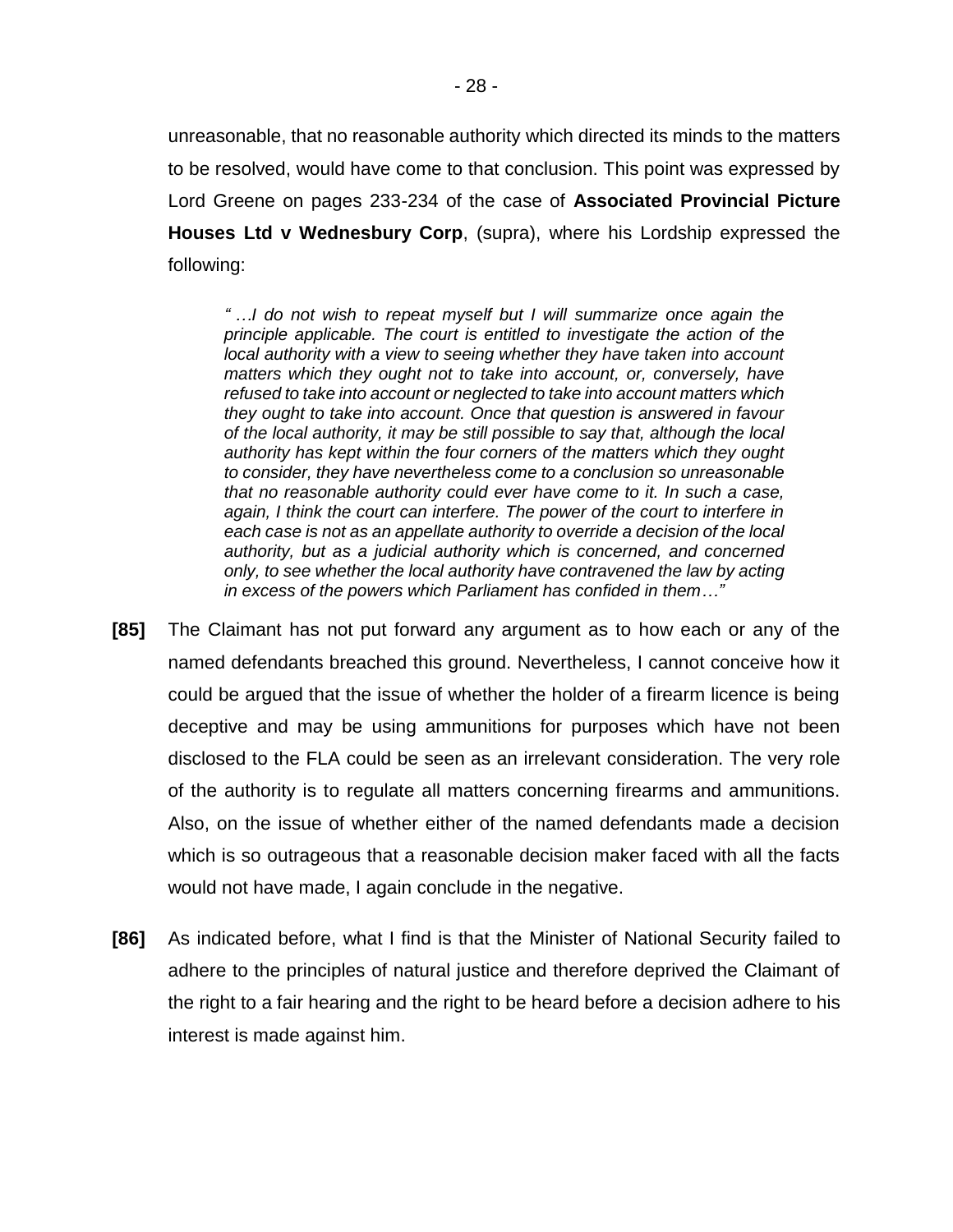unreasonable, that no reasonable authority which directed its minds to the matters to be resolved, would have come to that conclusion. This point was expressed by Lord Greene on pages 233-234 of the case of **Associated Provincial Picture Houses Ltd v Wednesbury Corp**, (supra), where his Lordship expressed the following:

*" …I do not wish to repeat myself but I will summarize once again the principle applicable. The court is entitled to investigate the action of the local authority with a view to seeing whether they have taken into account matters which they ought not to take into account, or, conversely, have refused to take into account or neglected to take into account matters which they ought to take into account. Once that question is answered in favour of the local authority, it may be still possible to say that, although the local authority has kept within the four corners of the matters which they ought to consider, they have nevertheless come to a conclusion so unreasonable that no reasonable authority could ever have come to it. In such a case,*  again, I think the court can interfere. The power of the court to interfere in *each case is not as an appellate authority to override a decision of the local authority, but as a judicial authority which is concerned, and concerned only, to see whether the local authority have contravened the law by acting in excess of the powers which Parliament has confided in them…"*

- **[85]** The Claimant has not put forward any argument as to how each or any of the named defendants breached this ground. Nevertheless, I cannot conceive how it could be argued that the issue of whether the holder of a firearm licence is being deceptive and may be using ammunitions for purposes which have not been disclosed to the FLA could be seen as an irrelevant consideration. The very role of the authority is to regulate all matters concerning firearms and ammunitions. Also, on the issue of whether either of the named defendants made a decision which is so outrageous that a reasonable decision maker faced with all the facts would not have made, I again conclude in the negative.
- **[86]** As indicated before, what I find is that the Minister of National Security failed to adhere to the principles of natural justice and therefore deprived the Claimant of the right to a fair hearing and the right to be heard before a decision adhere to his interest is made against him.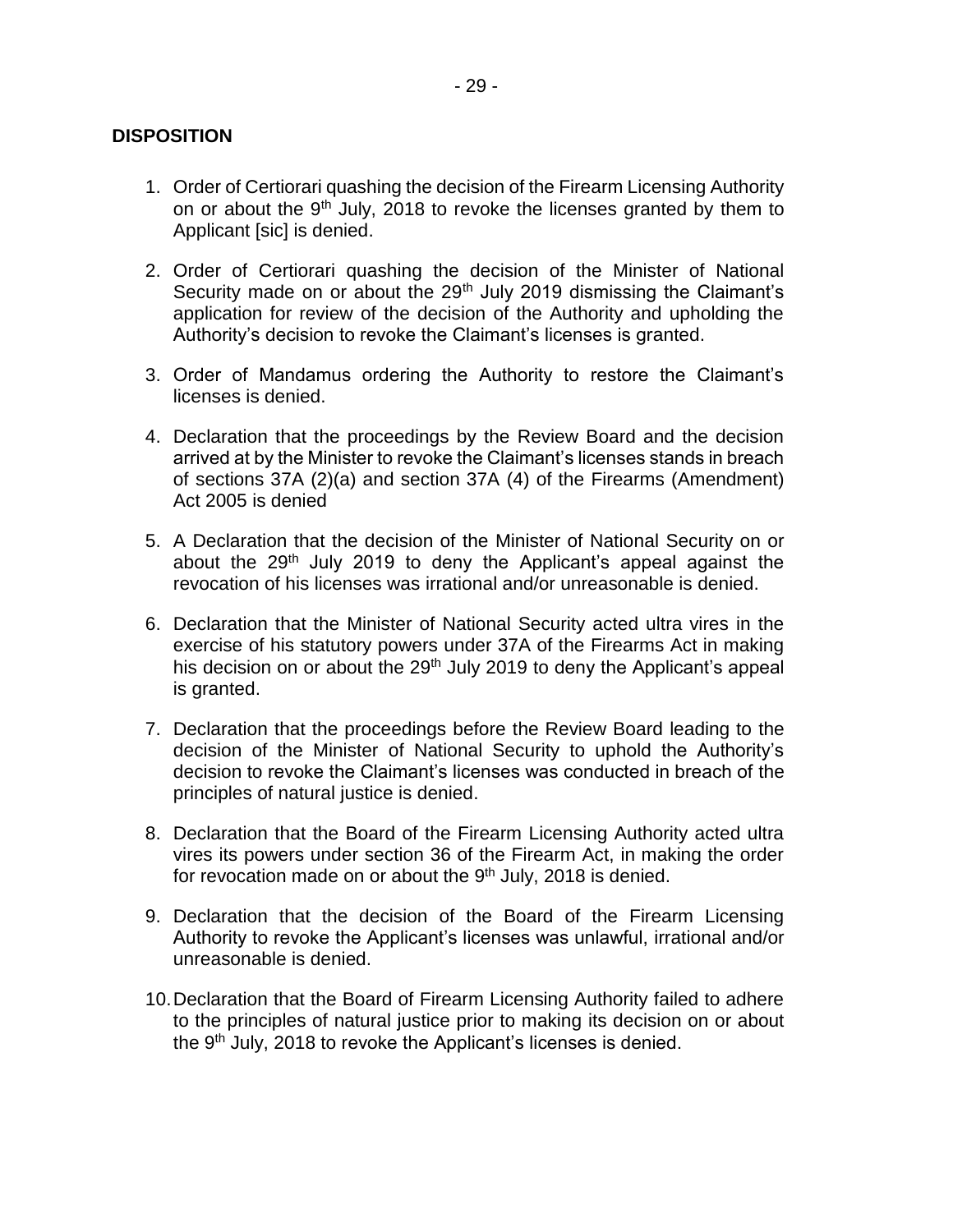#### **DISPOSITION**

- 1. Order of Certiorari quashing the decision of the Firearm Licensing Authority on or about the  $9<sup>th</sup>$  July, 2018 to revoke the licenses granted by them to Applicant [sic] is denied.
- 2. Order of Certiorari quashing the decision of the Minister of National Security made on or about the 29<sup>th</sup> July 2019 dismissing the Claimant's application for review of the decision of the Authority and upholding the Authority's decision to revoke the Claimant's licenses is granted.
- 3. Order of Mandamus ordering the Authority to restore the Claimant's licenses is denied.
- 4. Declaration that the proceedings by the Review Board and the decision arrived at by the Minister to revoke the Claimant's licenses stands in breach of sections 37A (2)(a) and section 37A (4) of the Firearms (Amendment) Act 2005 is denied
- 5. A Declaration that the decision of the Minister of National Security on or about the 29<sup>th</sup> July 2019 to deny the Applicant's appeal against the revocation of his licenses was irrational and/or unreasonable is denied.
- 6. Declaration that the Minister of National Security acted ultra vires in the exercise of his statutory powers under 37A of the Firearms Act in making his decision on or about the 29<sup>th</sup> July 2019 to deny the Applicant's appeal is granted.
- 7. Declaration that the proceedings before the Review Board leading to the decision of the Minister of National Security to uphold the Authority's decision to revoke the Claimant's licenses was conducted in breach of the principles of natural justice is denied.
- 8. Declaration that the Board of the Firearm Licensing Authority acted ultra vires its powers under section 36 of the Firearm Act, in making the order for revocation made on or about the 9<sup>th</sup> July, 2018 is denied.
- 9. Declaration that the decision of the Board of the Firearm Licensing Authority to revoke the Applicant's licenses was unlawful, irrational and/or unreasonable is denied.
- 10.Declaration that the Board of Firearm Licensing Authority failed to adhere to the principles of natural justice prior to making its decision on or about the 9<sup>th</sup> July, 2018 to revoke the Applicant's licenses is denied.